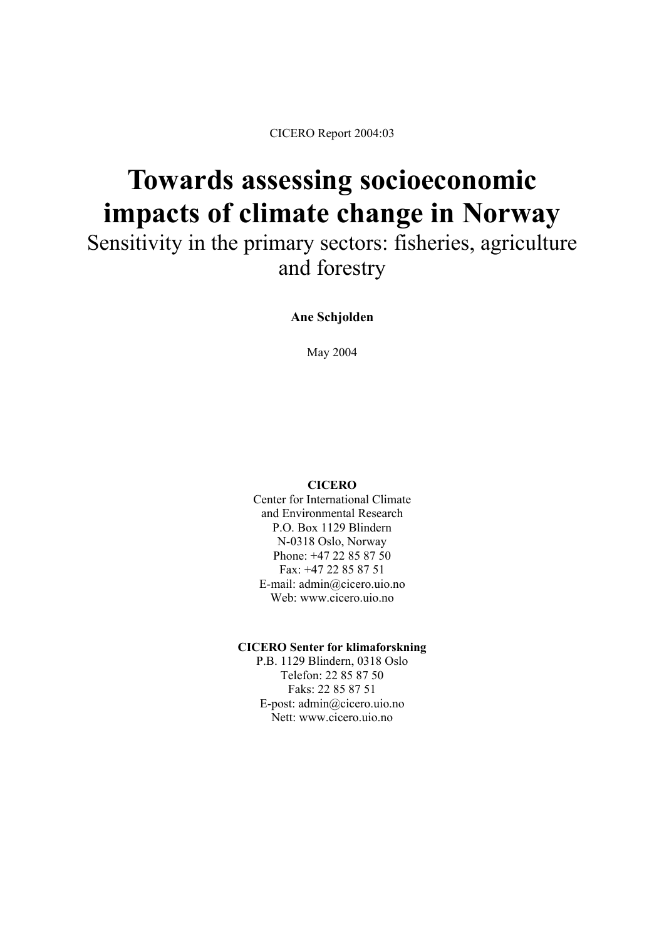CICERO Report 2004:03

# **Towards assessing socioeconomic impacts of climate change in Norway**

Sensitivity in the primary sectors: fisheries, agriculture and forestry

**Ane Schjolden** 

May 2004

#### **CICERO**

Center for International Climate and Environmental Research P.O. Box 1129 Blindern N-0318 Oslo, Norway Phone: +47 22 85 87 50 Fax: +47 22 85 87 51 E-mail: admin@cicero.uio.no Web: www.cicero.uio.no

#### **CICERO Senter for klimaforskning**

P.B. 1129 Blindern, 0318 Oslo Telefon: 22 85 87 50 Faks: 22 85 87 51 E-post: admin@cicero.uio.no Nett: www.cicero.uio.no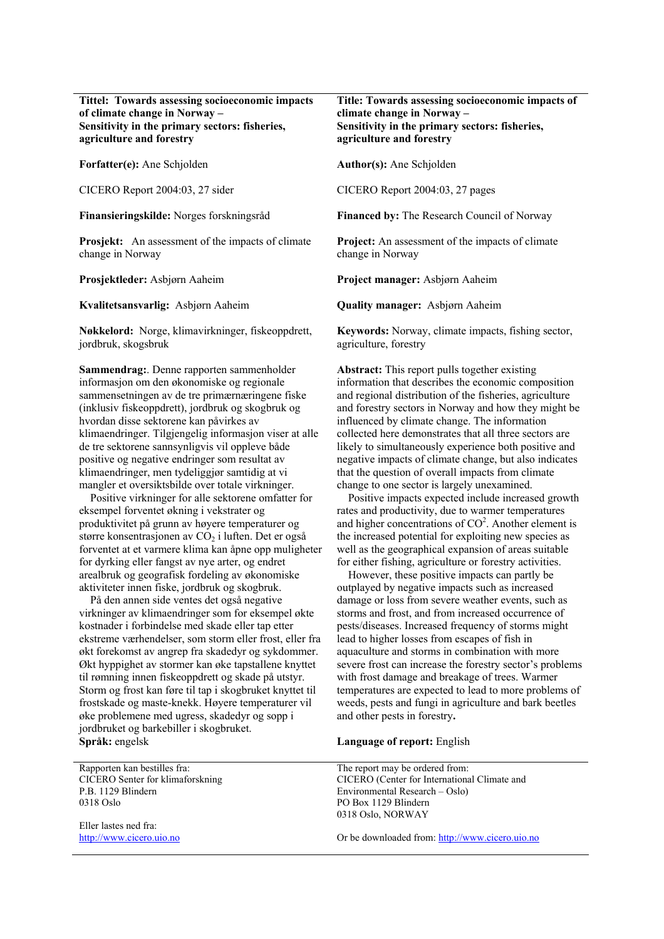#### **Tittel: Towards assessing socioeconomic impacts of climate change in Norway – Sensitivity in the primary sectors: fisheries, agriculture and forestry**

**Forfatter(e):** Ane Schjolden **Author(s):** Ane Schjolden

CICERO Report 2004:03, 27 sider CICERO Report 2004:03, 27 pages

**Prosjekt:** An assessment of the impacts of climate change in Norway

**Kvalitetsansvarlig:** Asbjørn Aaheim **Quality manager:** Asbjørn Aaheim

**Nøkkelord:** Norge, klimavirkninger, fiskeoppdrett, jordbruk, skogsbruk

**Sammendrag:**. Denne rapporten sammenholder informasjon om den økonomiske og regionale sammensetningen av de tre primærnæringene fiske (inklusiv fiskeoppdrett), jordbruk og skogbruk og hvordan disse sektorene kan påvirkes av klimaendringer. Tilgjengelig informasjon viser at alle de tre sektorene sannsynligvis vil oppleve både positive og negative endringer som resultat av klimaendringer, men tydeliggjør samtidig at vi mangler et oversiktsbilde over totale virkninger.

 Positive virkninger for alle sektorene omfatter for eksempel forventet økning i vekstrater og produktivitet på grunn av høyere temperaturer og større konsentrasjonen av  $CO<sub>2</sub>$  i luften. Det er også forventet at et varmere klima kan åpne opp muligheter for dyrking eller fangst av nye arter, og endret arealbruk og geografisk fordeling av økonomiske aktiviteter innen fiske, jordbruk og skogbruk.

 På den annen side ventes det også negative virkninger av klimaendringer som for eksempel økte kostnader i forbindelse med skade eller tap etter ekstreme værhendelser, som storm eller frost, eller fra økt forekomst av angrep fra skadedyr og sykdommer. Økt hyppighet av stormer kan øke tapstallene knyttet til rømning innen fiskeoppdrett og skade på utstyr. Storm og frost kan føre til tap i skogbruket knyttet til frostskade og maste-knekk. Høyere temperaturer vil øke problemene med ugress, skadedyr og sopp i jordbruket og barkebiller i skogbruket. **Språk:** engelsk **Language of report:** English

Rapporten kan bestilles fra: CICERO Senter for klimaforskning P.B. 1129 Blindern 0318 Oslo

Eller lastes ned fra: [http://www.cicero.uio.no](http://www.cicero.uio.no/)

#### **Title: Towards assessing socioeconomic impacts of climate change in Norway – Sensitivity in the primary sectors: fisheries, agriculture and forestry**

**Finansieringskilde:** Norges forskningsråd **Financed by:** The Research Council of Norway

**Project:** An assessment of the impacts of climate change in Norway

**Prosjektleder:** Asbjørn Aaheim **Project manager:** Asbjørn Aaheim

**Keywords:** Norway, climate impacts, fishing sector, agriculture, forestry

**Abstract:** This report pulls together existing information that describes the economic composition and regional distribution of the fisheries, agriculture and forestry sectors in Norway and how they might be influenced by climate change. The information collected here demonstrates that all three sectors are likely to simultaneously experience both positive and negative impacts of climate change, but also indicates that the question of overall impacts from climate change to one sector is largely unexamined.

 Positive impacts expected include increased growth rates and productivity, due to warmer temperatures and higher concentrations of  $CO<sup>2</sup>$ . Another element is the increased potential for exploiting new species as well as the geographical expansion of areas suitable for either fishing, agriculture or forestry activities.

 However, these positive impacts can partly be outplayed by negative impacts such as increased damage or loss from severe weather events, such as storms and frost, and from increased occurrence of pests/diseases. Increased frequency of storms might lead to higher losses from escapes of fish in aquaculture and storms in combination with more severe frost can increase the forestry sector's problems with frost damage and breakage of trees. Warmer temperatures are expected to lead to more problems of weeds, pests and fungi in agriculture and bark beetles and other pests in forestry**.** 

The report may be ordered from: CICERO (Center for International Climate and Environmental Research – Oslo) PO Box 1129 Blindern 0318 Oslo, NORWAY

Or be downloaded from: [http://www.cicero.uio.no](http://www.cicero.uio.no/)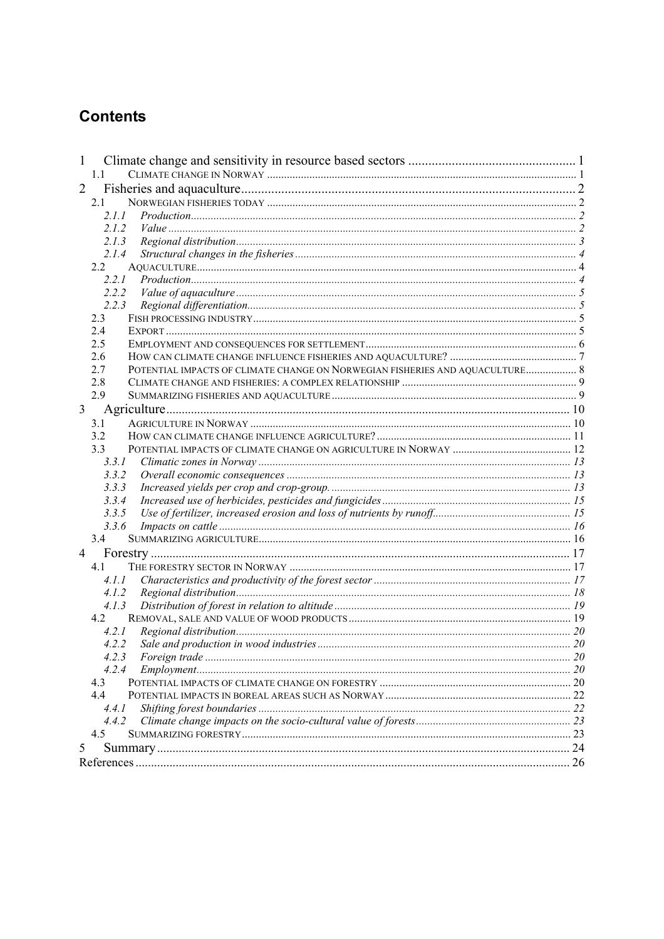# **Contents**

| 1              |                                                                                            |    |
|----------------|--------------------------------------------------------------------------------------------|----|
|                | 1.1                                                                                        |    |
| $\overline{2}$ |                                                                                            |    |
|                | 2.1                                                                                        |    |
|                | 2.1.1                                                                                      |    |
|                | 2.1.2                                                                                      |    |
|                | 2.1.3                                                                                      |    |
|                | 2.1.4                                                                                      |    |
|                | 2.2                                                                                        |    |
|                | 2.2.1                                                                                      |    |
|                | 2.2.2                                                                                      |    |
|                | 2.2.3                                                                                      |    |
|                | 2.3                                                                                        |    |
|                | 24                                                                                         |    |
|                | 2.5                                                                                        |    |
|                | 2.6<br>POTENTIAL IMPACTS OF CLIMATE CHANGE ON NORWEGIAN FISHERIES AND AQUACULTURE 8<br>2.7 |    |
|                | 2.8                                                                                        |    |
|                | 2.9                                                                                        |    |
| 3              |                                                                                            |    |
|                |                                                                                            |    |
|                | 3.1<br>3.2                                                                                 |    |
|                | 3.3                                                                                        |    |
|                | 3.3.1                                                                                      |    |
|                | 3.3.2                                                                                      |    |
|                | 3.3.3                                                                                      |    |
|                | 3.3.4                                                                                      |    |
|                | 3.3.5                                                                                      |    |
|                | 3.3.6                                                                                      |    |
|                | 3.4                                                                                        |    |
| $\overline{4}$ |                                                                                            |    |
|                | 4.1                                                                                        |    |
|                | 4.1.1                                                                                      |    |
|                | 4.1.2                                                                                      |    |
|                | 4.1.3                                                                                      |    |
|                | 4.2                                                                                        |    |
|                | 4.2.1                                                                                      |    |
|                | 4.2.2                                                                                      |    |
|                | 4.2.3                                                                                      |    |
|                | 4.2.4                                                                                      |    |
|                | 4.3                                                                                        |    |
|                | 4.4                                                                                        |    |
|                | 4.4.1                                                                                      |    |
|                | 4.4.2                                                                                      |    |
|                | 4.5                                                                                        |    |
| 5              |                                                                                            |    |
|                |                                                                                            | 26 |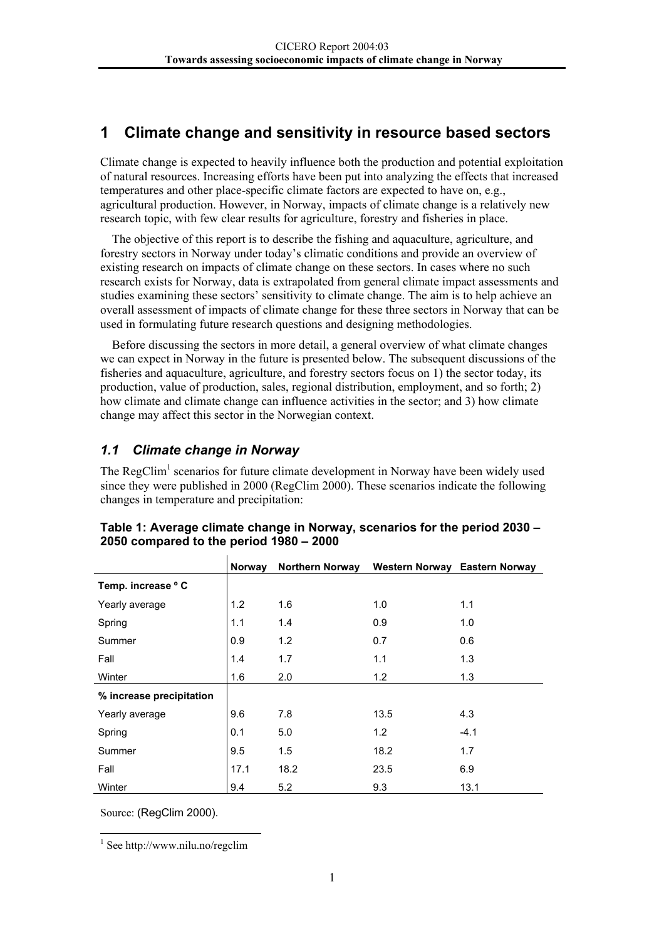# <span id="page-3-0"></span>**1 Climate change and sensitivity in resource based sectors**

Climate change is expected to heavily influence both the production and potential exploitation of natural resources. Increasing efforts have been put into analyzing the effects that increased temperatures and other place-specific climate factors are expected to have on, e.g., agricultural production. However, in Norway, impacts of climate change is a relatively new research topic, with few clear results for agriculture, forestry and fisheries in place.

The objective of this report is to describe the fishing and aquaculture, agriculture, and forestry sectors in Norway under today's climatic conditions and provide an overview of existing research on impacts of climate change on these sectors. In cases where no such research exists for Norway, data is extrapolated from general climate impact assessments and studies examining these sectors' sensitivity to climate change. The aim is to help achieve an overall assessment of impacts of climate change for these three sectors in Norway that can be used in formulating future research questions and designing methodologies.

Before discussing the sectors in more detail, a general overview of what climate changes we can expect in Norway in the future is presented below. The subsequent discussions of the fisheries and aquaculture, agriculture, and forestry sectors focus on 1) the sector today, its production, value of production, sales, regional distribution, employment, and so forth; 2) how climate and climate change can influence activities in the sector; and 3) how climate change may affect this sector in the Norwegian context.

#### *1.1 Climate change in Norway*

The RegClim<sup>1</sup> scenarios for future climate development in Norway have been widely used since they were published in 2000 (RegClim 2000). These scenarios indicate the following changes in temperature and precipitation:

|                          | <b>Norway</b> | <b>Northern Norway</b> | Western Norway Eastern Norway |        |
|--------------------------|---------------|------------------------|-------------------------------|--------|
| Temp. increase ° C       |               |                        |                               |        |
| Yearly average           | 1.2           | 1.6                    | 1.0                           | 1.1    |
| Spring                   | 1.1           | 1.4                    | 0.9                           | 1.0    |
| Summer                   | 0.9           | 1.2                    | 0.7                           | 0.6    |
| Fall                     | 1.4           | 1.7                    | 1.1                           | 1.3    |
| Winter                   | 1.6           | 2.0                    | 1.2                           | 1.3    |
| % increase precipitation |               |                        |                               |        |
| Yearly average           | 9.6           | 7.8                    | 13.5                          | 4.3    |
| Spring                   | 0.1           | 5.0                    | 1.2                           | $-4.1$ |
| Summer                   | 9.5           | 1.5                    | 18.2                          | 1.7    |
| Fall                     | 17.1          | 18.2                   | 23.5                          | 6.9    |
| Winter                   | 9.4           | 5.2                    | 9.3                           | 13.1   |

| Table 1: Average climate change in Norway, scenarios for the period 2030 – |  |
|----------------------------------------------------------------------------|--|
| 2050 compared to the period 1980 – 2000                                    |  |

Source: (RegClim 2000).

<span id="page-3-1"></span>|<br>|<br>|  $\frac{1}{1}$  See http://www.nilu.no/regclim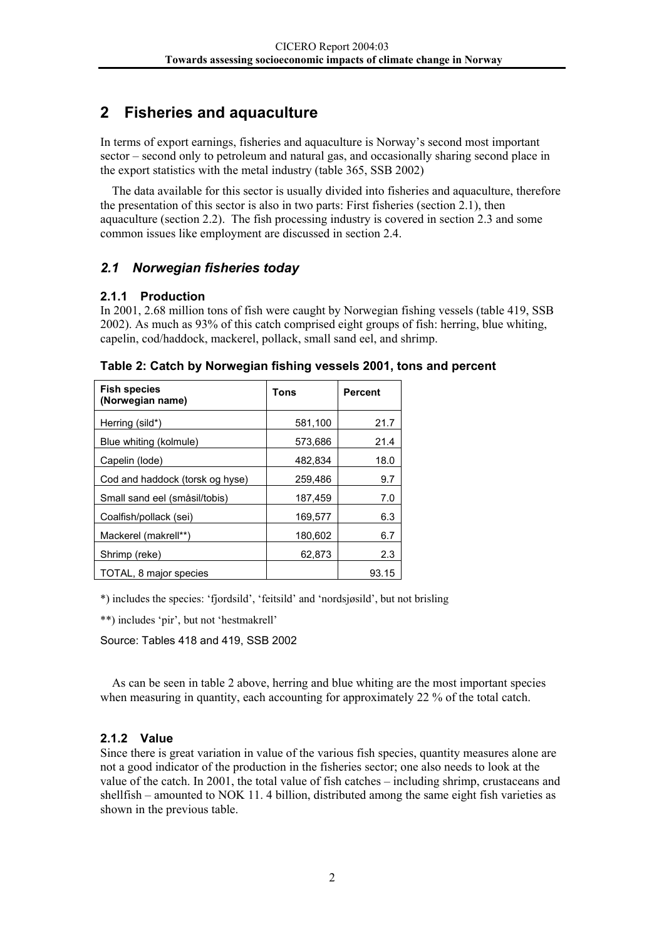# <span id="page-4-0"></span>**2 Fisheries and aquaculture**

In terms of export earnings, fisheries and aquaculture is Norway's second most important sector – second only to petroleum and natural gas, and occasionally sharing second place in the export statistics with the metal industry (table 365, SSB 2002)

The data available for this sector is usually divided into fisheries and aquaculture, therefore the presentation of this sector is also in two parts: First fisheries (section  $2.1$ ), then aquaculture (section 2.2). The fish processing industry is covered in section 2.3 and some common issues like employment are discussed in section 2.4.

#### *2.1 Norwegian fisheries today*

#### **2.1.1 Production**

In 2001, 2.68 million tons of fish were caught by Norwegian fishing vessels (table 419, SSB 2002). As much as 93% of this catch comprised eight groups of fish: herring, blue whiting, capelin, cod/haddock, mackerel, pollack, small sand eel, and shrimp.

| <b>Fish species</b><br>(Norwegian name) | Tons    | <b>Percent</b> |
|-----------------------------------------|---------|----------------|
| Herring (sild*)                         | 581,100 | 21.7           |
| Blue whiting (kolmule)                  | 573,686 | 21.4           |
| Capelin (lode)                          | 482,834 | 18.0           |
| Cod and haddock (torsk og hyse)         | 259,486 | 9.7            |
| Small sand eel (småsil/tobis)           | 187,459 | 7.0            |
| Coalfish/pollack (sei)                  | 169,577 | 6.3            |
| Mackerel (makrell**)                    | 180,602 | 6.7            |
| Shrimp (reke)                           | 62.873  | 2.3            |
| TOTAL, 8 major species                  |         | 93.15          |

**Table 2: Catch by Norwegian fishing vessels 2001, tons and percent** 

\*) includes the species: 'fjordsild', 'feitsild' and 'nordsjøsild', but not brisling

\*\*) includes 'pir', but not 'hestmakrell'

Source: Tables 418 and 419, SSB 2002

As can be seen in table 2 above, herring and blue whiting are the most important species when measuring in quantity, each accounting for approximately 22 % of the total catch.

#### **2.1.2 Value**

Since there is great variation in value of the various fish species, quantity measures alone are not a good indicator of the production in the fisheries sector; one also needs to look at the value of the catch. In 2001, the total value of fish catches – including shrimp, crustaceans and shellfish – amounted to NOK 11. 4 billion, distributed among the same eight fish varieties as shown in the previous table.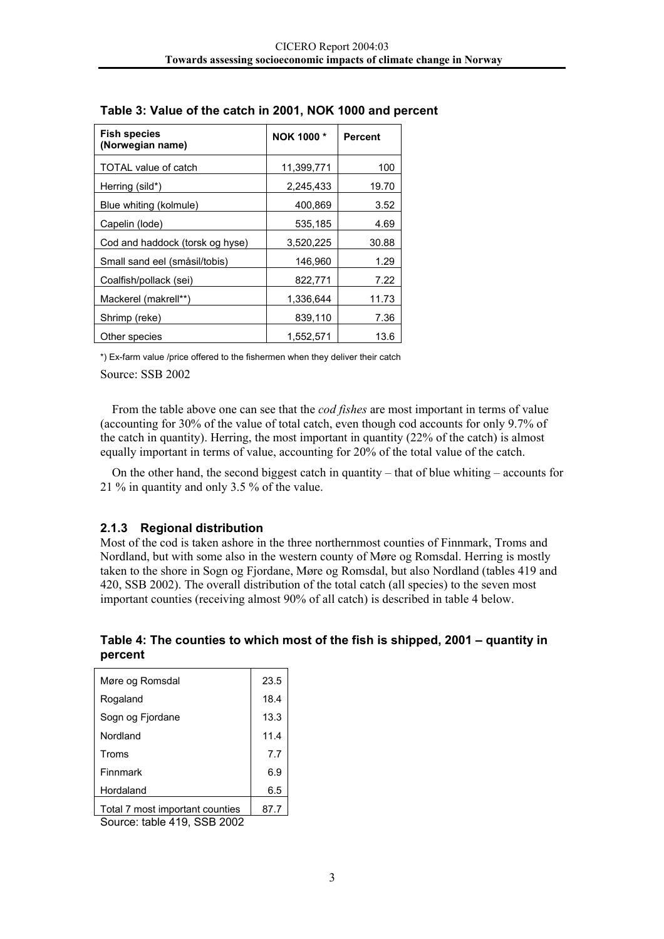| <b>Fish species</b><br>(Norwegian name) | NOK 1000*  | <b>Percent</b> |
|-----------------------------------------|------------|----------------|
| <b>TOTAL value of catch</b>             | 11,399,771 | 100            |
| Herring (sild*)                         | 2,245,433  | 19.70          |
| Blue whiting (kolmule)                  | 400,869    | 3.52           |
| Capelin (lode)                          | 535,185    | 4.69           |
| Cod and haddock (torsk og hyse)         | 3,520,225  | 30.88          |
| Small sand eel (småsil/tobis)           | 146,960    | 1.29           |
| Coalfish/pollack (sei)                  | 822,771    | 7.22           |
| Mackerel (makrell**)                    | 1,336,644  | 11.73          |
| Shrimp (reke)                           | 839,110    | 7.36           |
| Other species                           | 1,552,571  | 13.6           |

#### <span id="page-5-0"></span>**Table 3: Value of the catch in 2001, NOK 1000 and percent**

\*) Ex-farm value /price offered to the fishermen when they deliver their catch

Source: SSB 2002

From the table above one can see that the *cod fishes* are most important in terms of value (accounting for 30% of the value of total catch, even though cod accounts for only 9.7% of the catch in quantity). Herring, the most important in quantity (22% of the catch) is almost equally important in terms of value, accounting for 20% of the total value of the catch.

On the other hand, the second biggest catch in quantity – that of blue whiting – accounts for 21 % in quantity and only 3.5 % of the value.

#### **2.1.3 Regional distribution**

Most of the cod is taken ashore in the three northernmost counties of Finnmark, Troms and Nordland, but with some also in the western county of Møre og Romsdal. Herring is mostly taken to the shore in Sogn og Fjordane, Møre og Romsdal, but also Nordland (tables 419 and 420, SSB 2002). The overall distribution of the total catch (all species) to the seven most important counties (receiving almost 90% of all catch) is described in table 4 below.

**Table 4: The counties to which most of the fish is shipped, 2001 – quantity in percent** 

| Møre og Romsdal                 | 23.5 |
|---------------------------------|------|
| Rogaland                        | 18.4 |
| Sogn og Fjordane                | 13.3 |
| Nordland                        | 11.4 |
| Troms                           | 7.7  |
| Finnmark                        | 6.9  |
| Hordaland                       | 6.5  |
| Total 7 most important counties |      |

Source: table 419, SSB 2002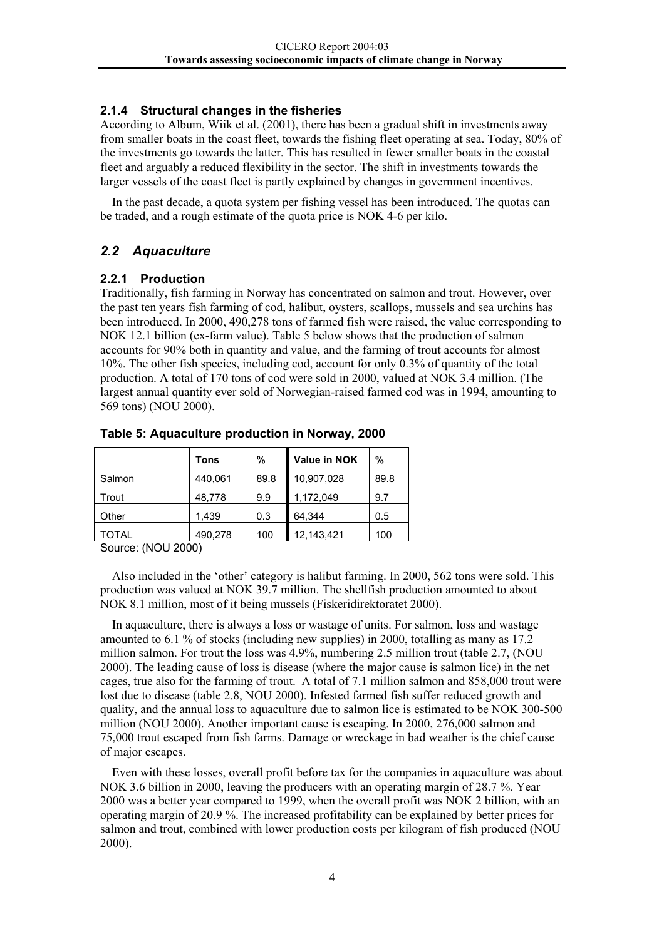#### <span id="page-6-0"></span>**2.1.4 Structural changes in the fisheries**

According to Album, Wiik et al. (2001), there has been a gradual shift in investments away from smaller boats in the coast fleet, towards the fishing fleet operating at sea. Today, 80% of the investments go towards the latter. This has resulted in fewer smaller boats in the coastal fleet and arguably a reduced flexibility in the sector. The shift in investments towards the larger vessels of the coast fleet is partly explained by changes in government incentives.

In the past decade, a quota system per fishing vessel has been introduced. The quotas can be traded, and a rough estimate of the quota price is NOK 4-6 per kilo.

#### *2.2 Aquaculture*

#### **2.2.1 Production**

Traditionally, fish farming in Norway has concentrated on salmon and trout. However, over the past ten years fish farming of cod, halibut, oysters, scallops, mussels and sea urchins has been introduced. In 2000, 490,278 tons of farmed fish were raised, the value corresponding to NOK 12.1 billion (ex-farm value). Table 5 below shows that the production of salmon accounts for 90% both in quantity and value, and the farming of trout accounts for almost 10%. The other fish species, including cod, account for only 0.3% of quantity of the total production. A total of 170 tons of cod were sold in 2000, valued at NOK 3.4 million. (The largest annual quantity ever sold of Norwegian-raised farmed cod was in 1994, amounting to 569 tons) (NOU 2000).

| Tons    | %    | Value in NOK | %    |
|---------|------|--------------|------|
| 440,061 | 89.8 | 10,907,028   | 89.8 |
| 48,778  | 9.9  | 1,172,049    | 9.7  |
| 1.439   | 0.3  | 64.344       | 0.5  |
| 490,278 | 100  | 12,143,421   | 100  |
|         |      |              |      |

#### **Table 5: Aquaculture production in Norway, 2000**

Source: (NOU 2000)

Also included in the 'other' category is halibut farming. In 2000, 562 tons were sold. This production was valued at NOK 39.7 million. The shellfish production amounted to about NOK 8.1 million, most of it being mussels (Fiskeridirektoratet 2000).

In aquaculture, there is always a loss or wastage of units. For salmon, loss and wastage amounted to 6.1 % of stocks (including new supplies) in 2000, totalling as many as 17.2 million salmon. For trout the loss was 4.9%, numbering 2.5 million trout (table 2.7, (NOU 2000). The leading cause of loss is disease (where the major cause is salmon lice) in the net cages, true also for the farming of trout. A total of 7.1 million salmon and 858,000 trout were lost due to disease (table 2.8, NOU 2000). Infested farmed fish suffer reduced growth and quality, and the annual loss to aquaculture due to salmon lice is estimated to be NOK 300-500 million (NOU 2000). Another important cause is escaping. In 2000, 276,000 salmon and 75,000 trout escaped from fish farms. Damage or wreckage in bad weather is the chief cause of major escapes.

Even with these losses, overall profit before tax for the companies in aquaculture was about NOK 3.6 billion in 2000, leaving the producers with an operating margin of 28.7 %. Year 2000 was a better year compared to 1999, when the overall profit was NOK 2 billion, with an operating margin of 20.9 %. The increased profitability can be explained by better prices for salmon and trout, combined with lower production costs per kilogram of fish produced (NOU 2000).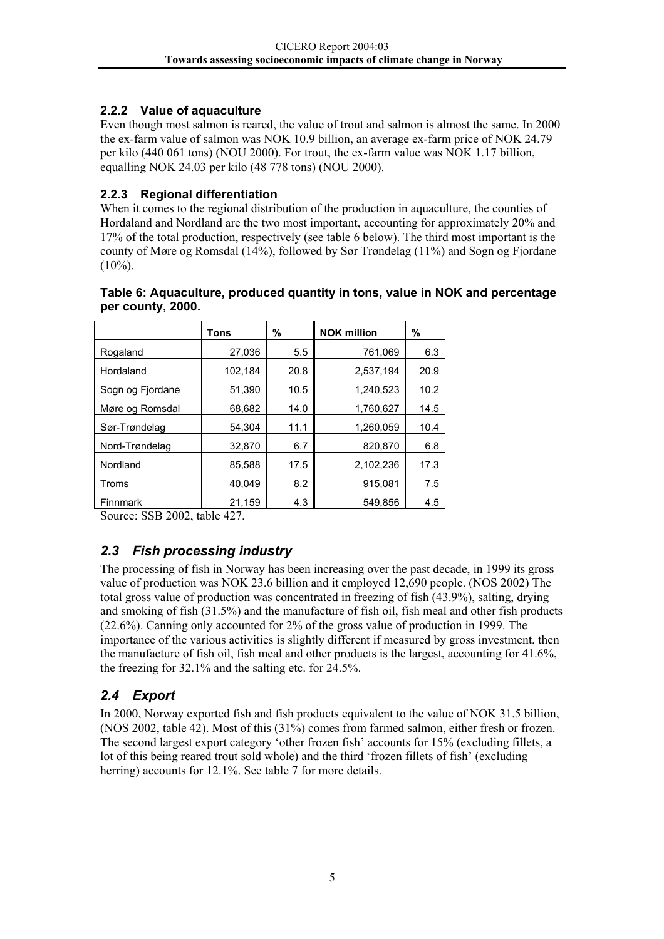#### <span id="page-7-0"></span>**2.2.2 Value of aquaculture**

Even though most salmon is reared, the value of trout and salmon is almost the same. In 2000 the ex-farm value of salmon was NOK 10.9 billion, an average ex-farm price of NOK 24.79 per kilo (440 061 tons) (NOU 2000). For trout, the ex-farm value was NOK 1.17 billion, equalling NOK 24.03 per kilo (48 778 tons) (NOU 2000).

#### **2.2.3 Regional differentiation**

When it comes to the regional distribution of the production in aquaculture, the counties of Hordaland and Nordland are the two most important, accounting for approximately 20% and 17% of the total production, respectively (see table 6 below). The third most important is the county of Møre og Romsdal (14%), followed by Sør Trøndelag (11%) and Sogn og Fjordane  $(10\%)$ .

|                                                       | Tons    | %    | <b>NOK million</b> | %    |
|-------------------------------------------------------|---------|------|--------------------|------|
| Rogaland                                              | 27,036  | 5.5  | 761,069            | 6.3  |
| Hordaland                                             | 102,184 | 20.8 | 2.537.194          | 20.9 |
| Sogn og Fjordane                                      | 51,390  | 10.5 | 1,240,523          | 10.2 |
| Møre og Romsdal                                       | 68,682  | 14.0 | 1,760,627          | 14.5 |
| Sør-Trøndelag                                         | 54,304  | 11.1 | 1,260,059          | 10.4 |
| Nord-Trøndelag                                        | 32,870  | 6.7  | 820,870            | 6.8  |
| Nordland                                              | 85,588  | 17.5 | 2,102,236          | 17.3 |
| Troms                                                 | 40,049  | 8.2  | 915,081            | 7.5  |
| <b>Finnmark</b>                                       | 21,159  | 4.3  | 549.856            | 4.5  |
| $00D$ $000$ $11$<br>$\lambda$ $\sim$ $\sim$<br>$\sim$ |         |      |                    |      |

#### **Table 6: Aquaculture, produced quantity in tons, value in NOK and percentage per county, 2000.**

Source: SSB 2002, table 427.

### *2.3 Fish processing industry*

The processing of fish in Norway has been increasing over the past decade, in 1999 its gross value of production was NOK 23.6 billion and it employed 12,690 people. (NOS 2002) The total gross value of production was concentrated in freezing of fish (43.9%), salting, drying and smoking of fish (31.5%) and the manufacture of fish oil, fish meal and other fish products (22.6%). Canning only accounted for 2% of the gross value of production in 1999. The importance of the various activities is slightly different if measured by gross investment, then the manufacture of fish oil, fish meal and other products is the largest, accounting for 41.6%, the freezing for 32.1% and the salting etc. for 24.5%.

### *2.4 Export*

In 2000, Norway exported fish and fish products equivalent to the value of NOK 31.5 billion, (NOS 2002, table 42). Most of this (31%) comes from farmed salmon, either fresh or frozen. The second largest export category 'other frozen fish' accounts for 15% (excluding fillets, a lot of this being reared trout sold whole) and the third 'frozen fillets of fish' (excluding herring) accounts for 12.1%. See table 7 for more details.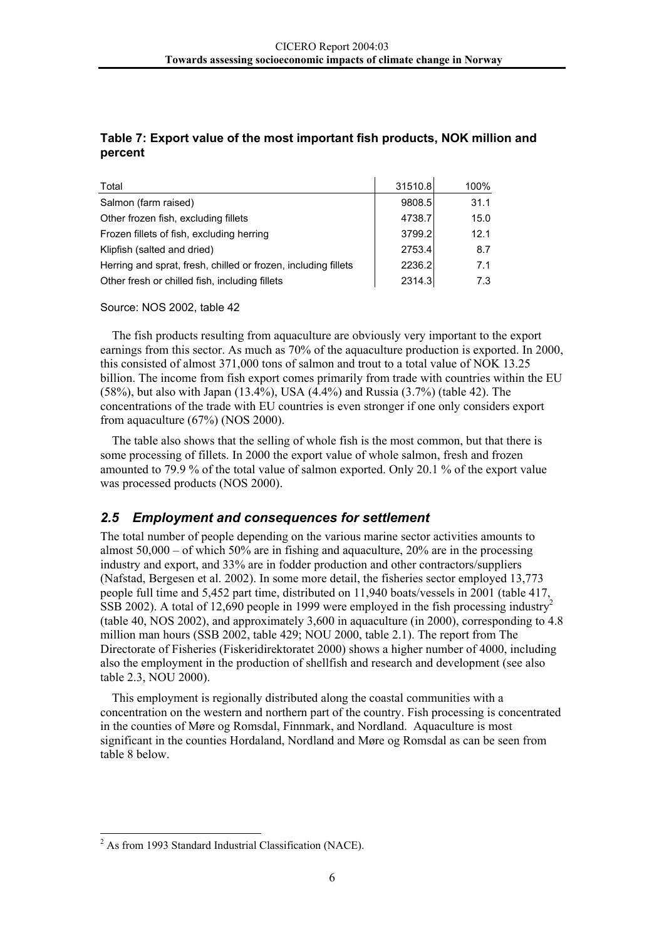#### <span id="page-8-0"></span>**Table 7: Export value of the most important fish products, NOK million and percent**

| Total                                                          | 31510.8 | 100% |
|----------------------------------------------------------------|---------|------|
| Salmon (farm raised)                                           | 9808.5  | 31.1 |
| Other frozen fish, excluding fillets                           | 4738.7  | 15.0 |
| Frozen fillets of fish, excluding herring                      | 3799.2  | 12.1 |
| Klipfish (salted and dried)                                    | 2753.4  | 8.7  |
| Herring and sprat, fresh, chilled or frozen, including fillets | 2236.2  | 7.1  |
| Other fresh or chilled fish, including fillets                 | 2314.3  | 7.3  |

Source: NOS 2002, table 42

The fish products resulting from aquaculture are obviously very important to the export earnings from this sector. As much as 70% of the aquaculture production is exported. In 2000, this consisted of almost 371,000 tons of salmon and trout to a total value of NOK 13.25 billion. The income from fish export comes primarily from trade with countries within the EU (58%), but also with Japan (13.4%), USA (4.4%) and Russia (3.7%) (table 42). The concentrations of the trade with EU countries is even stronger if one only considers export from aquaculture (67%) (NOS 2000).

The table also shows that the selling of whole fish is the most common, but that there is some processing of fillets. In 2000 the export value of whole salmon, fresh and frozen amounted to 79.9 % of the total value of salmon exported. Only 20.1 % of the export value was processed products (NOS 2000).

#### *2.5 Employment and consequences for settlement*

The total number of people depending on the various marine sector activities amounts to almost  $50,000 -$  of which  $50\%$  are in fishing and aquaculture,  $20\%$  are in the processing industry and export, and 33% are in fodder production and other contractors/suppliers (Nafstad, Bergesen et al. 2002). In some more detail, the fisheries sector employed 13,773 people full time and 5,452 part time, distributed on 11,940 boats/vessels in 2001 (table 417,  $\overline{SSB}$  [2](#page-8-1)002). A total of 12,690 people in 1999 were employed in the fish processing industry<sup>2</sup> (table 40, NOS 2002), and approximately 3,600 in aquaculture (in 2000), corresponding to 4.8 million man hours (SSB 2002, table 429; NOU 2000, table 2.1). The report from The Directorate of Fisheries (Fiskeridirektoratet 2000) shows a higher number of 4000, including also the employment in the production of shellfish and research and development (see also table 2.3, NOU 2000).

This employment is regionally distributed along the coastal communities with a concentration on the western and northern part of the country. Fish processing is concentrated in the counties of Møre og Romsdal, Finnmark, and Nordland. Aquaculture is most significant in the counties Hordaland, Nordland and Møre og Romsdal as can be seen from table 8 below.

<span id="page-8-1"></span> $\frac{1}{2}$  $<sup>2</sup>$  As from 1993 Standard Industrial Classification (NACE).</sup>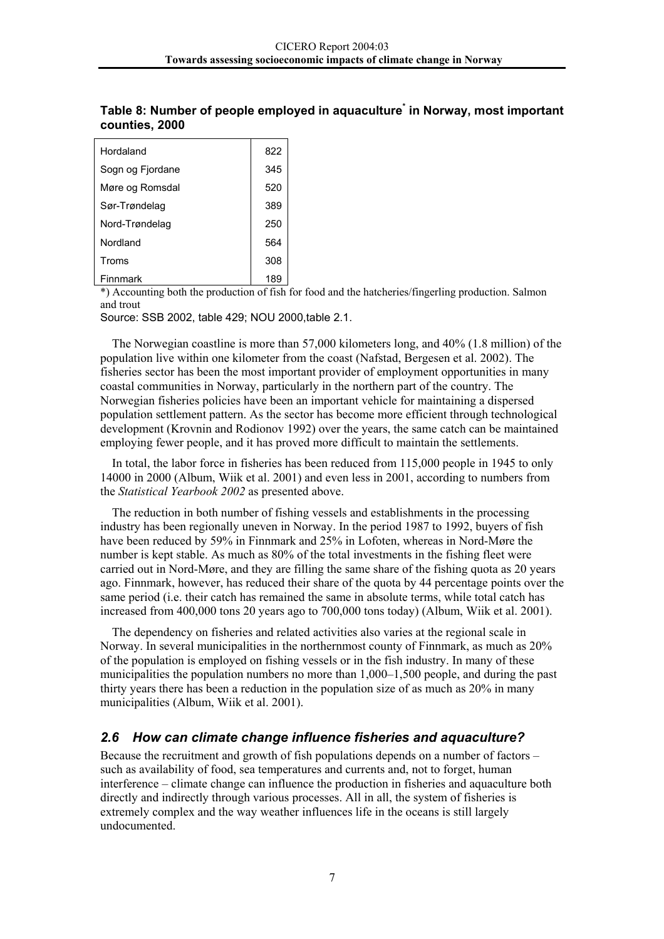| Hordaland        | 822 |
|------------------|-----|
| Sogn og Fjordane | 345 |
| Møre og Romsdal  | 520 |
| Sør-Trøndelag    | 389 |
| Nord-Trøndelag   | 250 |
| Nordland         | 564 |
| Troms            | 308 |
| Finnmark         | 189 |

#### <span id="page-9-0"></span>**Table 8: Number of people employed in aquaculture\* in Norway, most important counties, 2000**

\*) Accounting both the production of fish for food and the hatcheries/fingerling production. Salmon and trout

Source: SSB 2002, table 429; NOU 2000,table 2.1.

The Norwegian coastline is more than 57,000 kilometers long, and 40% (1.8 million) of the population live within one kilometer from the coast (Nafstad, Bergesen et al. 2002). The fisheries sector has been the most important provider of employment opportunities in many coastal communities in Norway, particularly in the northern part of the country. The Norwegian fisheries policies have been an important vehicle for maintaining a dispersed population settlement pattern. As the sector has become more efficient through technological development (Krovnin and Rodionov 1992) over the years, the same catch can be maintained employing fewer people, and it has proved more difficult to maintain the settlements.

In total, the labor force in fisheries has been reduced from 115,000 people in 1945 to only 14000 in 2000 (Album, Wiik et al. 2001) and even less in 2001, according to numbers from the *Statistical Yearbook 2002* as presented above.

The reduction in both number of fishing vessels and establishments in the processing industry has been regionally uneven in Norway. In the period 1987 to 1992, buyers of fish have been reduced by 59% in Finnmark and 25% in Lofoten, whereas in Nord-Møre the number is kept stable. As much as 80% of the total investments in the fishing fleet were carried out in Nord-Møre, and they are filling the same share of the fishing quota as 20 years ago. Finnmark, however, has reduced their share of the quota by 44 percentage points over the same period (i.e. their catch has remained the same in absolute terms, while total catch has increased from 400,000 tons 20 years ago to 700,000 tons today) (Album, Wiik et al. 2001).

The dependency on fisheries and related activities also varies at the regional scale in Norway. In several municipalities in the northernmost county of Finnmark, as much as 20% of the population is employed on fishing vessels or in the fish industry. In many of these municipalities the population numbers no more than 1,000–1,500 people, and during the past thirty years there has been a reduction in the population size of as much as 20% in many municipalities (Album, Wiik et al. 2001).

#### *2.6 How can climate change influence fisheries and aquaculture?*

Because the recruitment and growth of fish populations depends on a number of factors – such as availability of food, sea temperatures and currents and, not to forget, human interference – climate change can influence the production in fisheries and aquaculture both directly and indirectly through various processes. All in all, the system of fisheries is extremely complex and the way weather influences life in the oceans is still largely undocumented.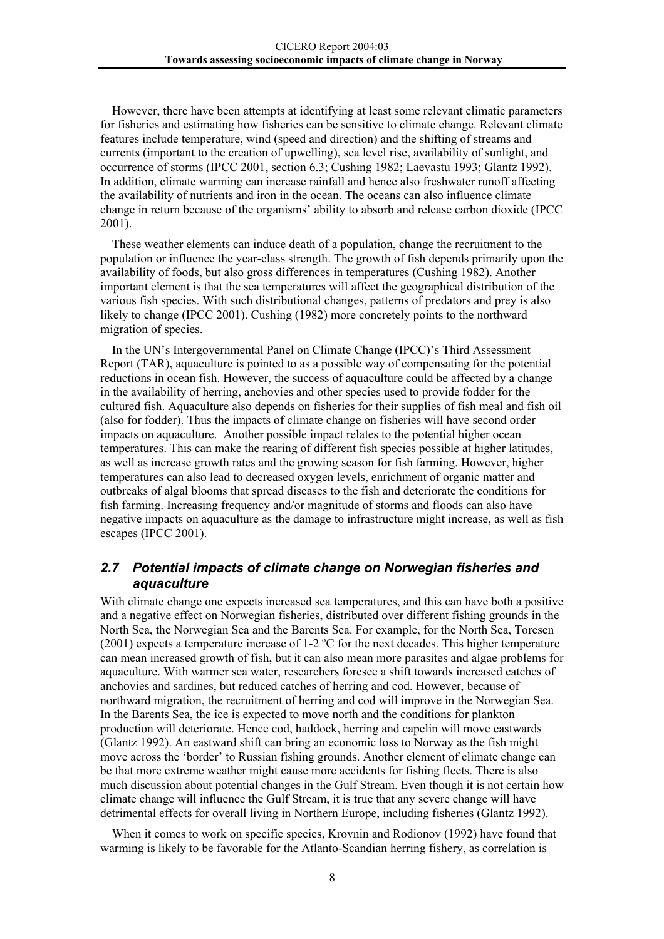<span id="page-10-0"></span>However, there have been attempts at identifying at least some relevant climatic parameters for fisheries and estimating how fisheries can be sensitive to climate change. Relevant climate features include temperature, wind (speed and direction) and the shifting of streams and currents (important to the creation of upwelling), sea level rise, availability of sunlight, and occurrence of storms (IPCC 2001, section 6.3; Cushing 1982; Laevastu 1993; Glantz 1992). In addition, climate warming can increase rainfall and hence also freshwater runoff affecting the availability of nutrients and iron in the ocean. The oceans can also influence climate change in return because of the organisms' ability to absorb and release carbon dioxide (IPCC 2001).

These weather elements can induce death of a population, change the recruitment to the population or influence the year-class strength. The growth of fish depends primarily upon the availability of foods, but also gross differences in temperatures (Cushing 1982). Another important element is that the sea temperatures will affect the geographical distribution of the various fish species. With such distributional changes, patterns of predators and prey is also likely to change (IPCC 2001). Cushing (1982) more concretely points to the northward migration of species.

In the UN's Intergovernmental Panel on Climate Change (IPCC)'s Third Assessment Report (TAR), aquaculture is pointed to as a possible way of compensating for the potential reductions in ocean fish. However, the success of aquaculture could be affected by a change in the availability of herring, anchovies and other species used to provide fodder for the cultured fish. Aquaculture also depends on fisheries for their supplies of fish meal and fish oil (also for fodder). Thus the impacts of climate change on fisheries will have second order impacts on aquaculture. Another possible impact relates to the potential higher ocean temperatures. This can make the rearing of different fish species possible at higher latitudes, as well as increase growth rates and the growing season for fish farming. However, higher temperatures can also lead to decreased oxygen levels, enrichment of organic matter and outbreaks of algal blooms that spread diseases to the fish and deteriorate the conditions for fish farming. Increasing frequency and/or magnitude of storms and floods can also have negative impacts on aquaculture as the damage to infrastructure might increase, as well as fish escapes (IPCC 2001).

#### *2.7 Potential impacts of climate change on Norwegian fisheries and aquaculture*

With climate change one expects increased sea temperatures, and this can have both a positive and a negative effect on Norwegian fisheries, distributed over different fishing grounds in the North Sea, the Norwegian Sea and the Barents Sea. For example, for the North Sea, Toresen (2001) expects a temperature increase of 1-2  $\rm{^{\circ}C}$  for the next decades. This higher temperature can mean increased growth of fish, but it can also mean more parasites and algae problems for aquaculture. With warmer sea water, researchers foresee a shift towards increased catches of anchovies and sardines, but reduced catches of herring and cod. However, because of northward migration, the recruitment of herring and cod will improve in the Norwegian Sea. In the Barents Sea, the ice is expected to move north and the conditions for plankton production will deteriorate. Hence cod, haddock, herring and capelin will move eastwards (Glantz 1992). An eastward shift can bring an economic loss to Norway as the fish might move across the 'border' to Russian fishing grounds. Another element of climate change can be that more extreme weather might cause more accidents for fishing fleets. There is also much discussion about potential changes in the Gulf Stream. Even though it is not certain how climate change will influence the Gulf Stream, it is true that any severe change will have detrimental effects for overall living in Northern Europe, including fisheries (Glantz 1992).

When it comes to work on specific species, Krovnin and Rodionov (1992) have found that warming is likely to be favorable for the Atlanto-Scandian herring fishery, as correlation is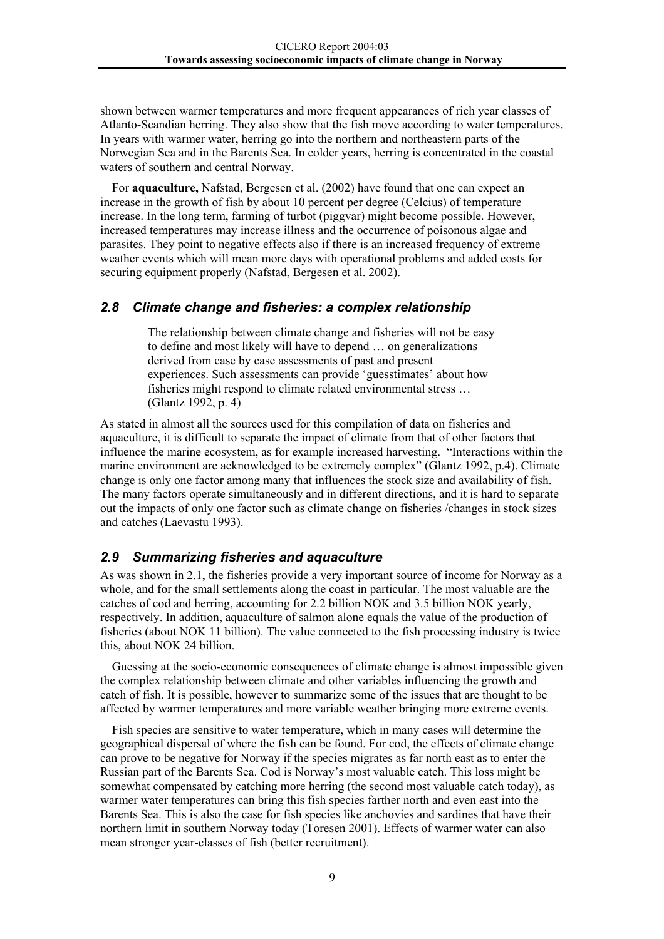<span id="page-11-0"></span>shown between warmer temperatures and more frequent appearances of rich year classes of Atlanto-Scandian herring. They also show that the fish move according to water temperatures. In years with warmer water, herring go into the northern and northeastern parts of the Norwegian Sea and in the Barents Sea. In colder years, herring is concentrated in the coastal waters of southern and central Norway.

For **aquaculture,** Nafstad, Bergesen et al. (2002) have found that one can expect an increase in the growth of fish by about 10 percent per degree (Celcius) of temperature increase. In the long term, farming of turbot (piggvar) might become possible. However, increased temperatures may increase illness and the occurrence of poisonous algae and parasites. They point to negative effects also if there is an increased frequency of extreme weather events which will mean more days with operational problems and added costs for securing equipment properly (Nafstad, Bergesen et al. 2002).

#### *2.8 Climate change and fisheries: a complex relationship*

The relationship between climate change and fisheries will not be easy to define and most likely will have to depend … on generalizations derived from case by case assessments of past and present experiences. Such assessments can provide 'guesstimates' about how fisheries might respond to climate related environmental stress … (Glantz 1992, p. 4)

As stated in almost all the sources used for this compilation of data on fisheries and aquaculture, it is difficult to separate the impact of climate from that of other factors that influence the marine ecosystem, as for example increased harvesting. "Interactions within the marine environment are acknowledged to be extremely complex" (Glantz 1992, p.4). Climate change is only one factor among many that influences the stock size and availability of fish. The many factors operate simultaneously and in different directions, and it is hard to separate out the impacts of only one factor such as climate change on fisheries /changes in stock sizes and catches (Laevastu 1993).

#### *2.9 Summarizing fisheries and aquaculture*

As was shown in 2.1, the fisheries provide a very important source of income for Norway as a whole, and for the small settlements along the coast in particular. The most valuable are the catches of cod and herring, accounting for 2.2 billion NOK and 3.5 billion NOK yearly, respectively. In addition, aquaculture of salmon alone equals the value of the production of fisheries (about NOK 11 billion). The value connected to the fish processing industry is twice this, about NOK 24 billion.

Guessing at the socio-economic consequences of climate change is almost impossible given the complex relationship between climate and other variables influencing the growth and catch of fish. It is possible, however to summarize some of the issues that are thought to be affected by warmer temperatures and more variable weather bringing more extreme events.

Fish species are sensitive to water temperature, which in many cases will determine the geographical dispersal of where the fish can be found. For cod, the effects of climate change can prove to be negative for Norway if the species migrates as far north east as to enter the Russian part of the Barents Sea. Cod is Norway's most valuable catch. This loss might be somewhat compensated by catching more herring (the second most valuable catch today), as warmer water temperatures can bring this fish species farther north and even east into the Barents Sea. This is also the case for fish species like anchovies and sardines that have their northern limit in southern Norway today (Toresen 2001). Effects of warmer water can also mean stronger year-classes of fish (better recruitment).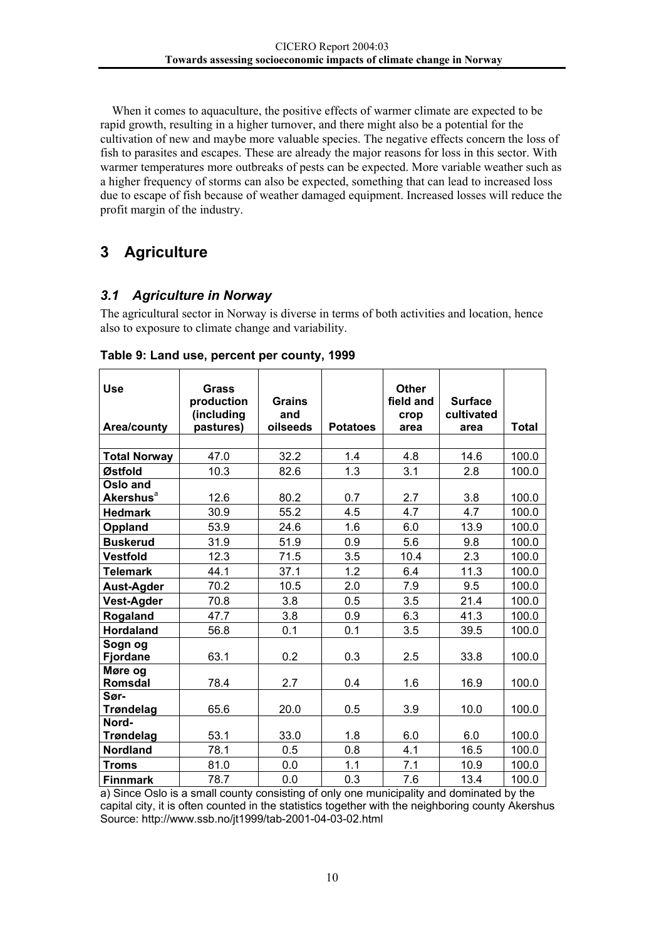<span id="page-12-0"></span>When it comes to aquaculture, the positive effects of warmer climate are expected to be rapid growth, resulting in a higher turnover, and there might also be a potential for the cultivation of new and maybe more valuable species. The negative effects concern the loss of fish to parasites and escapes. These are already the major reasons for loss in this sector. With warmer temperatures more outbreaks of pests can be expected. More variable weather such as a higher frequency of storms can also be expected, something that can lead to increased loss due to escape of fish because of weather damaged equipment. Increased losses will reduce the profit margin of the industry.

# **3 Agriculture**

#### *3.1 Agriculture in Norway*

The agricultural sector in Norway is diverse in terms of both activities and location, hence also to exposure to climate change and variability.

| <b>Use</b><br>Area/county         | Grass<br>production<br>(including<br>pastures) | <b>Grains</b><br>and<br>oilseeds | <b>Potatoes</b> | <b>Other</b><br>field and<br>crop<br>area | <b>Surface</b><br>cultivated<br>area | <b>Total</b> |
|-----------------------------------|------------------------------------------------|----------------------------------|-----------------|-------------------------------------------|--------------------------------------|--------------|
| <b>Total Norway</b>               | 47.0                                           | 32.2                             | 1.4             | 4.8                                       | 14.6                                 | 100.0        |
| Østfold                           | 10.3                                           | 82.6                             | 1.3             | 3.1                                       | 2.8                                  | 100.0        |
| Oslo and<br>Akershus <sup>a</sup> | 12.6                                           | 80.2                             | 0.7             | 2.7                                       | 3.8                                  | 100.0        |
| <b>Hedmark</b>                    | 30.9                                           | 55.2                             | 4.5             | 4.7                                       | 4.7                                  | 100.0        |
| Oppland                           | 53.9                                           | 24.6                             | 1.6             | 6.0                                       | 13.9                                 | 100.0        |
| <b>Buskerud</b>                   | 31.9                                           | 51.9                             | 0.9             | 5.6                                       | 9.8                                  | 100.0        |
| <b>Vestfold</b>                   | 12.3                                           | 71.5                             | 3.5             | 10.4                                      | 2.3                                  | 100.0        |
| <b>Telemark</b>                   | 44.1                                           | 37.1                             | 1.2             | 6.4                                       | 11.3                                 | 100.0        |
| <b>Aust-Agder</b>                 | 70.2                                           | 10.5                             | 2.0             | 7.9                                       | 9.5                                  | 100.0        |
| <b>Vest-Agder</b>                 | 70.8                                           | 3.8                              | 0.5             | 3.5                                       | 21.4                                 | 100.0        |
| Rogaland                          | 47.7                                           | 3.8                              | 0.9             | 6.3                                       | 41.3                                 | 100.0        |
| <b>Hordaland</b>                  | 56.8                                           | 0.1                              | 0.1             | 3.5                                       | 39.5                                 | 100.0        |
| Sogn og<br>Fjordane               | 63.1                                           | 0.2                              | 0.3             | 2.5                                       | 33.8                                 | 100.0        |
| Møre og<br><b>Romsdal</b>         | 78.4                                           | 2.7                              | 0.4             | 1.6                                       | 16.9                                 | 100.0        |
| Sør-<br><b>Trøndelag</b>          | 65.6                                           | 20.0                             | 0.5             | 3.9                                       | 10.0                                 | 100.0        |
| Nord-<br><b>Trøndelag</b>         | 53.1                                           | 33.0                             | 1.8             | 6.0                                       | 6.0                                  | 100.0        |
| <b>Nordland</b>                   | 78.1                                           | 0.5                              | 0.8             | 4.1                                       | 16.5                                 | 100.0        |
| Troms                             | 81.0                                           | 0.0                              | 1.1             | 7.1                                       | 10.9                                 | 100.0        |
| <b>Finnmark</b>                   | 78.7                                           | 0.0                              | 0.3             | 7.6                                       | 13.4                                 | 100.0        |

|  | Table 9: Land use, percent per county, 1999 |
|--|---------------------------------------------|
|--|---------------------------------------------|

a) Since Oslo is a small county consisting of only one municipality and dominated by the capital city, it is often counted in the statistics together with the neighboring county Akershus Source: http://www.ssb.no/jt1999/tab-2001-04-03-02.html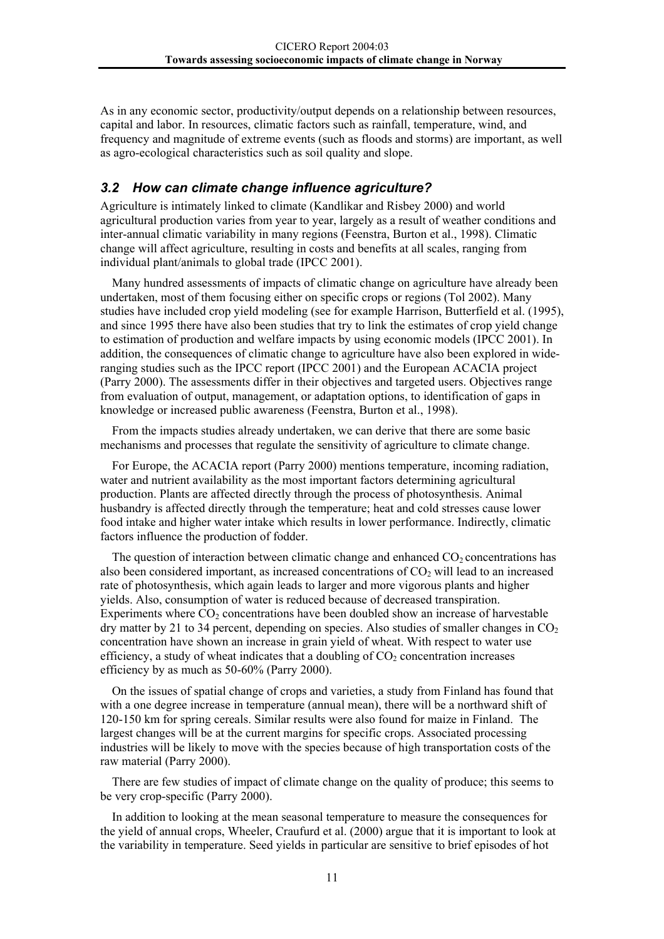<span id="page-13-0"></span>As in any economic sector, productivity/output depends on a relationship between resources, capital and labor. In resources, climatic factors such as rainfall, temperature, wind, and frequency and magnitude of extreme events (such as floods and storms) are important, as well as agro-ecological characteristics such as soil quality and slope.

#### *3.2 How can climate change influence agriculture?*

Agriculture is intimately linked to climate (Kandlikar and Risbey 2000) and world agricultural production varies from year to year, largely as a result of weather conditions and inter-annual climatic variability in many regions (Feenstra, Burton et al., 1998). Climatic change will affect agriculture, resulting in costs and benefits at all scales, ranging from individual plant/animals to global trade (IPCC 2001).

Many hundred assessments of impacts of climatic change on agriculture have already been undertaken, most of them focusing either on specific crops or regions (Tol 2002). Many studies have included crop yield modeling (see for example Harrison, Butterfield et al. (1995), and since 1995 there have also been studies that try to link the estimates of crop yield change to estimation of production and welfare impacts by using economic models (IPCC 2001). In addition, the consequences of climatic change to agriculture have also been explored in wideranging studies such as the IPCC report (IPCC 2001) and the European ACACIA project (Parry 2000). The assessments differ in their objectives and targeted users. Objectives range from evaluation of output, management, or adaptation options, to identification of gaps in knowledge or increased public awareness (Feenstra, Burton et al., 1998).

From the impacts studies already undertaken, we can derive that there are some basic mechanisms and processes that regulate the sensitivity of agriculture to climate change.

For Europe, the ACACIA report (Parry 2000) mentions temperature, incoming radiation, water and nutrient availability as the most important factors determining agricultural production. Plants are affected directly through the process of photosynthesis. Animal husbandry is affected directly through the temperature; heat and cold stresses cause lower food intake and higher water intake which results in lower performance. Indirectly, climatic factors influence the production of fodder.

The question of interaction between climatic change and enhanced  $CO<sub>2</sub>$  concentrations has also been considered important, as increased concentrations of  $CO<sub>2</sub>$  will lead to an increased rate of photosynthesis, which again leads to larger and more vigorous plants and higher yields. Also, consumption of water is reduced because of decreased transpiration. Experiments where  $CO<sub>2</sub>$  concentrations have been doubled show an increase of harvestable dry matter by 21 to 34 percent, depending on species. Also studies of smaller changes in  $CO<sub>2</sub>$ concentration have shown an increase in grain yield of wheat. With respect to water use efficiency, a study of wheat indicates that a doubling of  $CO<sub>2</sub>$  concentration increases efficiency by as much as 50-60% (Parry 2000).

On the issues of spatial change of crops and varieties, a study from Finland has found that with a one degree increase in temperature (annual mean), there will be a northward shift of 120-150 km for spring cereals. Similar results were also found for maize in Finland. The largest changes will be at the current margins for specific crops. Associated processing industries will be likely to move with the species because of high transportation costs of the raw material (Parry 2000).

There are few studies of impact of climate change on the quality of produce; this seems to be very crop-specific (Parry 2000).

In addition to looking at the mean seasonal temperature to measure the consequences for the yield of annual crops, Wheeler, Craufurd et al. (2000) argue that it is important to look at the variability in temperature. Seed yields in particular are sensitive to brief episodes of hot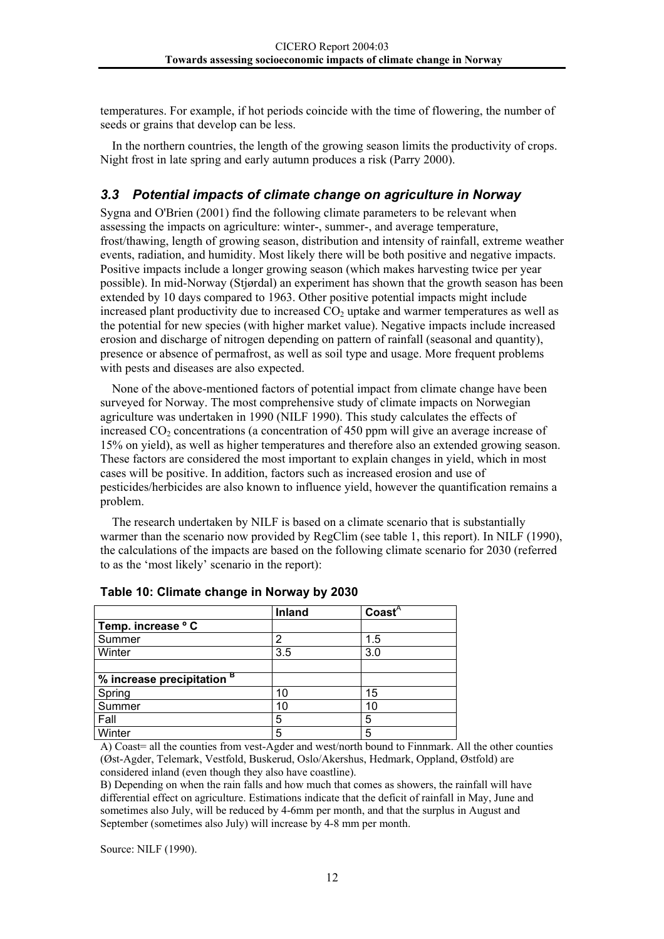<span id="page-14-0"></span>temperatures. For example, if hot periods coincide with the time of flowering, the number of seeds or grains that develop can be less.

In the northern countries, the length of the growing season limits the productivity of crops. Night frost in late spring and early autumn produces a risk (Parry 2000).

#### *3.3 Potential impacts of climate change on agriculture in Norway*

Sygna and O'Brien (2001) find the following climate parameters to be relevant when assessing the impacts on agriculture: winter-, summer-, and average temperature, frost/thawing, length of growing season, distribution and intensity of rainfall, extreme weather events, radiation, and humidity. Most likely there will be both positive and negative impacts. Positive impacts include a longer growing season (which makes harvesting twice per year possible). In mid-Norway (Stjørdal) an experiment has shown that the growth season has been extended by 10 days compared to 1963. Other positive potential impacts might include increased plant productivity due to increased  $CO<sub>2</sub>$  uptake and warmer temperatures as well as the potential for new species (with higher market value). Negative impacts include increased erosion and discharge of nitrogen depending on pattern of rainfall (seasonal and quantity), presence or absence of permafrost, as well as soil type and usage. More frequent problems with pests and diseases are also expected.

None of the above-mentioned factors of potential impact from climate change have been surveyed for Norway. The most comprehensive study of climate impacts on Norwegian agriculture was undertaken in 1990 (NILF 1990). This study calculates the effects of increased  $CO<sub>2</sub>$  concentrations (a concentration of 450 ppm will give an average increase of 15% on yield), as well as higher temperatures and therefore also an extended growing season. These factors are considered the most important to explain changes in yield, which in most cases will be positive. In addition, factors such as increased erosion and use of pesticides/herbicides are also known to influence yield, however the quantification remains a problem.

The research undertaken by NILF is based on a climate scenario that is substantially warmer than the scenario now provided by RegClim (see table 1, this report). In NILF (1990), the calculations of the impacts are based on the following climate scenario for 2030 (referred to as the 'most likely' scenario in the report):

|                                       | Inland | $\text{Coast}^{\overline{A}}$ |
|---------------------------------------|--------|-------------------------------|
| Temp. increase ° C                    |        |                               |
| Summer                                | 2      | 1.5                           |
| Winter                                | 3.5    | 3.0                           |
|                                       |        |                               |
| % increase precipitation <sup>B</sup> |        |                               |
| Spring                                | 10     | 15                            |
| Summer                                | 10     | 10                            |
| Fall                                  | 5      | 5                             |
| Winter                                | 5      | 5                             |

| Table 10: Climate change in Norway by 2030 |  |  |  |  |
|--------------------------------------------|--|--|--|--|
|--------------------------------------------|--|--|--|--|

A) Coast= all the counties from vest-Agder and west/north bound to Finnmark. All the other counties (Øst-Agder, Telemark, Vestfold, Buskerud, Oslo/Akershus, Hedmark, Oppland, Østfold) are considered inland (even though they also have coastline).

B) Depending on when the rain falls and how much that comes as showers, the rainfall will have differential effect on agriculture. Estimations indicate that the deficit of rainfall in May, June and sometimes also July, will be reduced by 4-6mm per month, and that the surplus in August and September (sometimes also July) will increase by 4-8 mm per month.

Source: NILF (1990).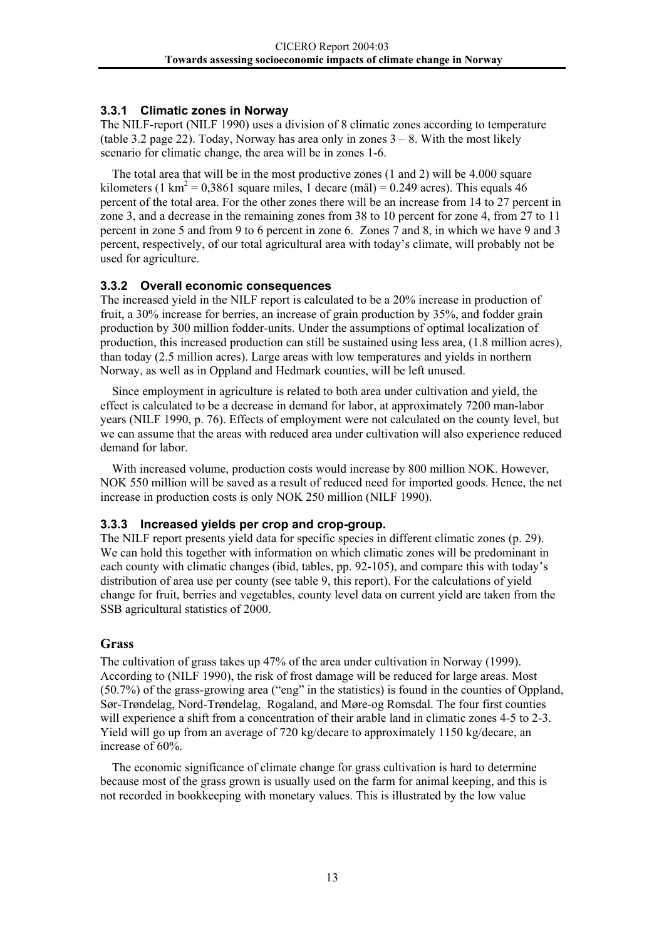#### <span id="page-15-0"></span>**3.3.1 Climatic zones in Norway**

The NILF-report (NILF 1990) uses a division of 8 climatic zones according to temperature (table 3.2 page 22). Today, Norway has area only in zones  $3 - 8$ . With the most likely scenario for climatic change, the area will be in zones 1-6.

The total area that will be in the most productive zones (1 and 2) will be 4.000 square kilometers (1 km<sup>2</sup> = 0,3861 square miles, 1 decare (mål) = 0.249 acres). This equals 46 percent of the total area. For the other zones there will be an increase from 14 to 27 percent in zone 3, and a decrease in the remaining zones from 38 to 10 percent for zone 4, from 27 to 11 percent in zone 5 and from 9 to 6 percent in zone 6. Zones 7 and 8, in which we have 9 and 3 percent, respectively, of our total agricultural area with today's climate, will probably not be used for agriculture.

#### **3.3.2 Overall economic consequences**

The increased yield in the NILF report is calculated to be a 20% increase in production of fruit, a 30% increase for berries, an increase of grain production by 35%, and fodder grain production by 300 million fodder-units. Under the assumptions of optimal localization of production, this increased production can still be sustained using less area, (1.8 million acres), than today (2.5 million acres). Large areas with low temperatures and yields in northern Norway, as well as in Oppland and Hedmark counties, will be left unused.

Since employment in agriculture is related to both area under cultivation and yield, the effect is calculated to be a decrease in demand for labor, at approximately 7200 man-labor years (NILF 1990, p. 76). Effects of employment were not calculated on the county level, but we can assume that the areas with reduced area under cultivation will also experience reduced demand for labor.

With increased volume, production costs would increase by 800 million NOK. However, NOK 550 million will be saved as a result of reduced need for imported goods. Hence, the net increase in production costs is only NOK 250 million (NILF 1990).

#### **3.3.3 Increased yields per crop and crop-group.**

The NILF report presents yield data for specific species in different climatic zones (p. 29). We can hold this together with information on which climatic zones will be predominant in each county with climatic changes (ibid, tables, pp. 92-105), and compare this with today's distribution of area use per county (see table 9, this report). For the calculations of yield change for fruit, berries and vegetables, county level data on current yield are taken from the SSB agricultural statistics of 2000.

#### **Grass**

The cultivation of grass takes up 47% of the area under cultivation in Norway (1999). According to (NILF 1990), the risk of frost damage will be reduced for large areas. Most (50.7%) of the grass-growing area ("eng" in the statistics) is found in the counties of Oppland, Sør-Trøndelag, Nord-Trøndelag, Rogaland, and Møre-og Romsdal. The four first counties will experience a shift from a concentration of their arable land in climatic zones 4-5 to 2-3. Yield will go up from an average of 720 kg/decare to approximately 1150 kg/decare, an increase of 60%.

The economic significance of climate change for grass cultivation is hard to determine because most of the grass grown is usually used on the farm for animal keeping, and this is not recorded in bookkeeping with monetary values. This is illustrated by the low value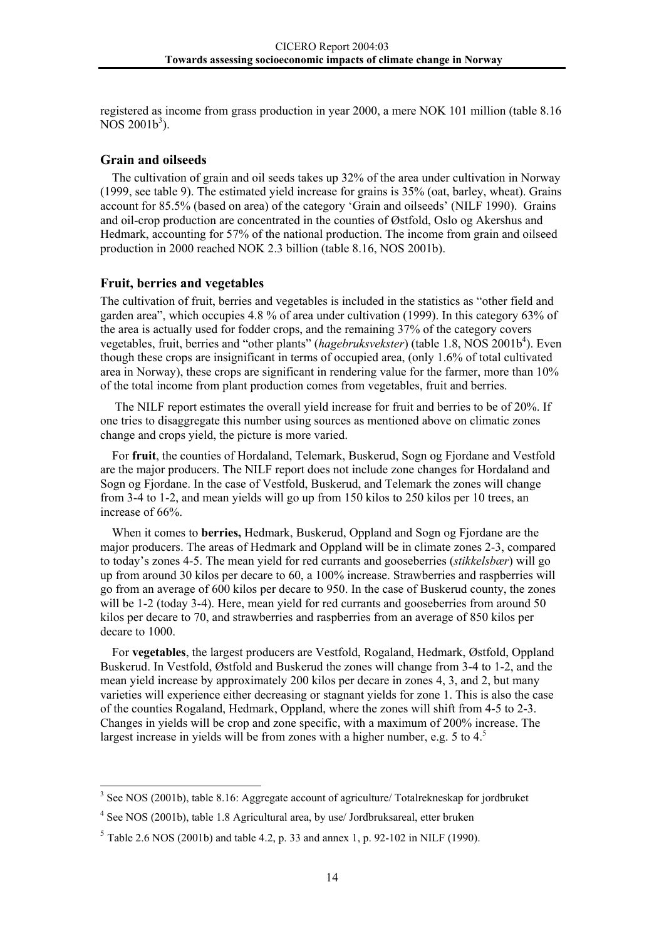registered as income from grass production in year 2000, a mere NOK 101 million (table 8.16  $NOS 2001b^3$ ).

#### **Grain and oilseeds**

The cultivation of grain and oil seeds takes up 32% of the area under cultivation in Norway (1999, see table 9). The estimated yield increase for grains is 35% (oat, barley, wheat). Grains account for 85.5% (based on area) of the category 'Grain and oilseeds' (NILF 1990). Grains and oil-crop production are concentrated in the counties of Østfold, Oslo og Akershus and Hedmark, accounting for 57% of the national production. The income from grain and oilseed production in 2000 reached NOK 2.3 billion (table 8.16, NOS 2001b).

#### **Fruit, berries and vegetables**

The cultivation of fruit, berries and vegetables is included in the statistics as "other field and garden area", which occupies 4.8 % of area under cultivation (1999). In this category 63% of the area is actually used for fodder crops, and the remaining 37% of the category covers vegetables, fruit, berries and "other plants" (*hagebruksvekster*) (table 1.8, NOS 2001b<sup>4</sup>). Even though these crops are insignificant in terms of occupied area, (only 1.6% of total cultivated area in Norway), these crops are significant in rendering value for the farmer, more than 10% of the total income from plant production comes from vegetables, fruit and berries.

 The NILF report estimates the overall yield increase for fruit and berries to be of 20%. If one tries to disaggregate this number using sources as mentioned above on climatic zones change and crops yield, the picture is more varied.

For **fruit**, the counties of Hordaland, Telemark, Buskerud, Sogn og Fjordane and Vestfold are the major producers. The NILF report does not include zone changes for Hordaland and Sogn og Fjordane. In the case of Vestfold, Buskerud, and Telemark the zones will change from 3-4 to 1-2, and mean yields will go up from 150 kilos to 250 kilos per 10 trees, an increase of 66%.

When it comes to **berries,** Hedmark, Buskerud, Oppland and Sogn og Fjordane are the major producers. The areas of Hedmark and Oppland will be in climate zones 2-3, compared to today's zones 4-5. The mean yield for red currants and gooseberries (*stikkelsbær*) will go up from around 30 kilos per decare to 60, a 100% increase. Strawberries and raspberries will go from an average of 600 kilos per decare to 950. In the case of Buskerud county, the zones will be 1-2 (today 3-4). Here, mean yield for red currants and gooseberries from around 50 kilos per decare to 70, and strawberries and raspberries from an average of 850 kilos per decare to 1000.

For **vegetables**, the largest producers are Vestfold, Rogaland, Hedmark, Østfold, Oppland Buskerud. In Vestfold, Østfold and Buskerud the zones will change from 3-4 to 1-2, and the mean yield increase by approximately 200 kilos per decare in zones 4, 3, and 2, but many varieties will experience either decreasing or stagnant yields for zone 1. This is also the case of the counties Rogaland, Hedmark, Oppland, where the zones will shift from 4-5 to 2-3. Changes in yields will be crop and zone specific, with a maximum of 200% increase. The largest increase in yields will be from zones with a higher number, e.g. [5](#page-16-2) to  $4<sup>5</sup>$ 

<span id="page-16-0"></span> <sup>3</sup> <sup>3</sup> See NOS (2001b), table 8.16: Aggregate account of agriculture/ Totalrekneskap for jordbruket

<span id="page-16-1"></span><sup>&</sup>lt;sup>4</sup> See NOS (2001b), table 1.8 Agricultural area, by use/ Jordbruksareal, etter bruken

<span id="page-16-2"></span> $5$  Table 2.6 NOS (2001b) and table 4.2, p. 33 and annex 1, p. 92-102 in NILF (1990).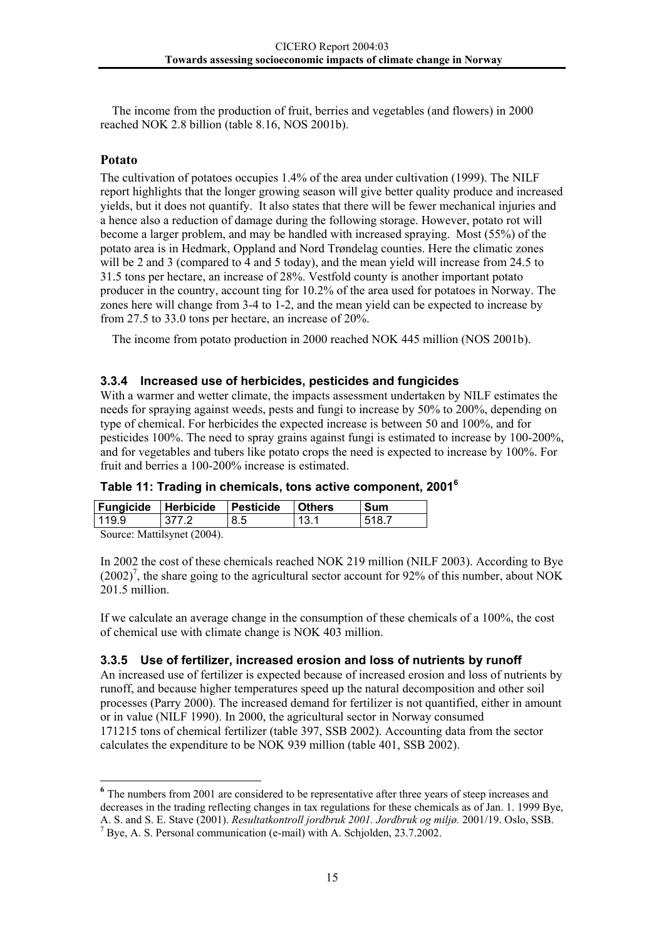<span id="page-17-0"></span>The income from the production of fruit, berries and vegetables (and flowers) in 2000 reached NOK 2.8 billion (table 8.16, NOS 2001b).

#### **Potato**

The cultivation of potatoes occupies 1.4% of the area under cultivation (1999). The NILF report highlights that the longer growing season will give better quality produce and increased yields, but it does not quantify. It also states that there will be fewer mechanical injuries and a hence also a reduction of damage during the following storage. However, potato rot will become a larger problem, and may be handled with increased spraying. Most (55%) of the potato area is in Hedmark, Oppland and Nord Trøndelag counties. Here the climatic zones will be 2 and 3 (compared to 4 and 5 today), and the mean yield will increase from 24.5 to 31.5 tons per hectare, an increase of 28%. Vestfold county is another important potato producer in the country, account ting for 10.2% of the area used for potatoes in Norway. The zones here will change from 3-4 to 1-2, and the mean yield can be expected to increase by from 27.5 to 33.0 tons per hectare, an increase of 20%.

The income from potato production in 2000 reached NOK 445 million (NOS 2001b).

#### **3.3.4 Increased use of herbicides, pesticides and fungicides**

With a warmer and wetter climate, the impacts assessment undertaken by NILF estimates the needs for spraying against weeds, pests and fungi to increase by 50% to 200%, depending on type of chemical. For herbicides the expected increase is between 50 and 100%, and for pesticides 100%. The need to spray grains against fungi is estimated to increase by 100-200%, and for vegetables and tubers like potato crops the need is expected to increase by 100%. For fruit and berries a 100-200% increase is estimated.

|  |  |  |  | Table 11: Trading in chemicals, tons active component, 2001 <sup>6</sup> |  |
|--|--|--|--|--------------------------------------------------------------------------|--|
|--|--|--|--|--------------------------------------------------------------------------|--|

| <b>Fungicide Herbicide</b>  |       | <b>Pesticide</b> | <b>Others</b> | Sum   |  |  |  |
|-----------------------------|-------|------------------|---------------|-------|--|--|--|
| 119.9                       | 377.2 | 8.5              | 13.1          | 518.7 |  |  |  |
| Source: Mattilsynet (2004). |       |                  |               |       |  |  |  |

In 2002 the cost of these chemicals reached NOK 219 million (NILF 2003). According to Bye  $(2002)^7$ , the share going to the agricultural sector account for 92% of this number, about NOK 201.5 million

If we calculate an average change in the consumption of these chemicals of a 100%, the cost of chemical use with climate change is NOK 403 million.

#### **3.3.5 Use of fertilizer, increased erosion and loss of nutrients by runoff**

An increased use of fertilizer is expected because of increased erosion and loss of nutrients by runoff, and because higher temperatures speed up the natural decomposition and other soil processes (Parry 2000). The increased demand for fertilizer is not quantified, either in amount or in value (NILF 1990). In 2000, the agricultural sector in Norway consumed 171215 tons of chemical fertilizer (table 397, SSB 2002). Accounting data from the sector calculates the expenditure to be NOK 939 million (table 401, SSB 2002).

<span id="page-17-1"></span>**<sup>6</sup>** The numbers from 2001 are considered to be representative after three years of steep increases and decreases in the trading reflecting changes in tax regulations for these chemicals as of Jan. 1. 1999 Bye, A. S. and S. E. Stave (2001). *Resultatkontroll jordbruk 2001. Jordbruk og miljø*. 2001/19. Oslo, SSB.<br><sup>7</sup> Bye, A. S. Personal communication (e-mail) with A. Schjolden, 23.7.2002.

<span id="page-17-2"></span>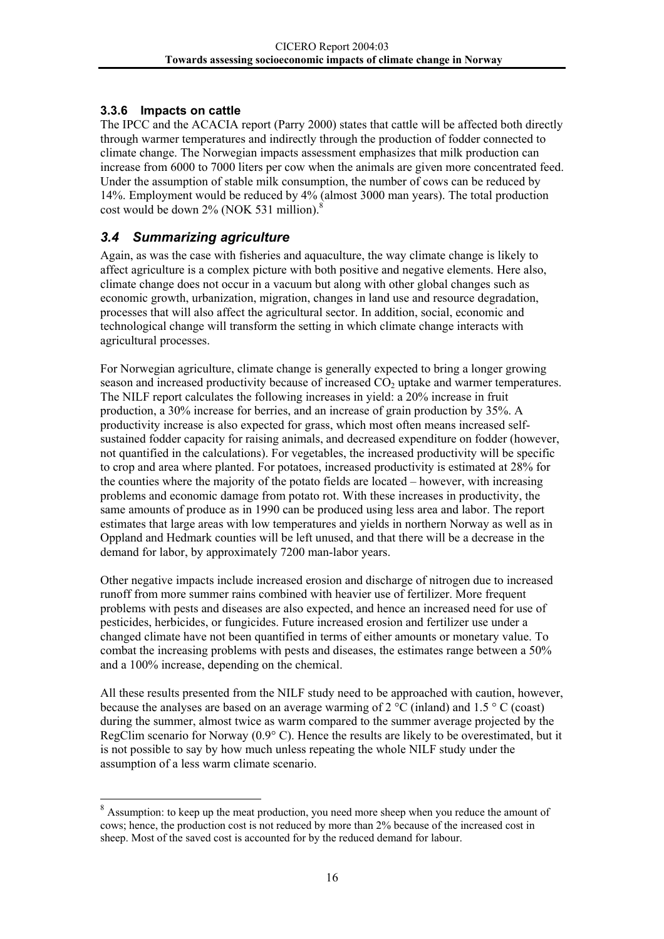#### <span id="page-18-0"></span>**3.3.6 Impacts on cattle**

The IPCC and the ACACIA report (Parry 2000) states that cattle will be affected both directly through warmer temperatures and indirectly through the production of fodder connected to climate change. The Norwegian impacts assessment emphasizes that milk production can increase from 6000 to 7000 liters per cow when the animals are given more concentrated feed. Under the assumption of stable milk consumption, the number of cows can be reduced by 14%. Employment would be reduced by 4% (almost 3000 man years). The total production cost would be down 2% (NOK 531 million)[.8](#page-18-1)

#### *3.4 Summarizing agriculture*

Again, as was the case with fisheries and aquaculture, the way climate change is likely to affect agriculture is a complex picture with both positive and negative elements. Here also, climate change does not occur in a vacuum but along with other global changes such as economic growth, urbanization, migration, changes in land use and resource degradation, processes that will also affect the agricultural sector. In addition, social, economic and technological change will transform the setting in which climate change interacts with agricultural processes.

For Norwegian agriculture, climate change is generally expected to bring a longer growing season and increased productivity because of increased  $CO<sub>2</sub>$  uptake and warmer temperatures. The NILF report calculates the following increases in yield: a 20% increase in fruit production, a 30% increase for berries, and an increase of grain production by 35%. A productivity increase is also expected for grass, which most often means increased selfsustained fodder capacity for raising animals, and decreased expenditure on fodder (however, not quantified in the calculations). For vegetables, the increased productivity will be specific to crop and area where planted. For potatoes, increased productivity is estimated at 28% for the counties where the majority of the potato fields are located – however, with increasing problems and economic damage from potato rot. With these increases in productivity, the same amounts of produce as in 1990 can be produced using less area and labor. The report estimates that large areas with low temperatures and yields in northern Norway as well as in Oppland and Hedmark counties will be left unused, and that there will be a decrease in the demand for labor, by approximately 7200 man-labor years.

Other negative impacts include increased erosion and discharge of nitrogen due to increased runoff from more summer rains combined with heavier use of fertilizer. More frequent problems with pests and diseases are also expected, and hence an increased need for use of pesticides, herbicides, or fungicides. Future increased erosion and fertilizer use under a changed climate have not been quantified in terms of either amounts or monetary value. To combat the increasing problems with pests and diseases, the estimates range between a 50% and a 100% increase, depending on the chemical.

All these results presented from the NILF study need to be approached with caution, however, because the analyses are based on an average warming of  $2^{\circ}C$  (inland) and  $1.5^{\circ}C$  (coast) during the summer, almost twice as warm compared to the summer average projected by the RegClim scenario for Norway (0.9° C). Hence the results are likely to be overestimated, but it is not possible to say by how much unless repeating the whole NILF study under the assumption of a less warm climate scenario.

<span id="page-18-1"></span><sup>&</sup>lt;sup>8</sup> Assumption: to keep up the meat production, you need more sheep when you reduce the amount of cows; hence, the production cost is not reduced by more than 2% because of the increased cost in sheep. Most of the saved cost is accounted for by the reduced demand for labour.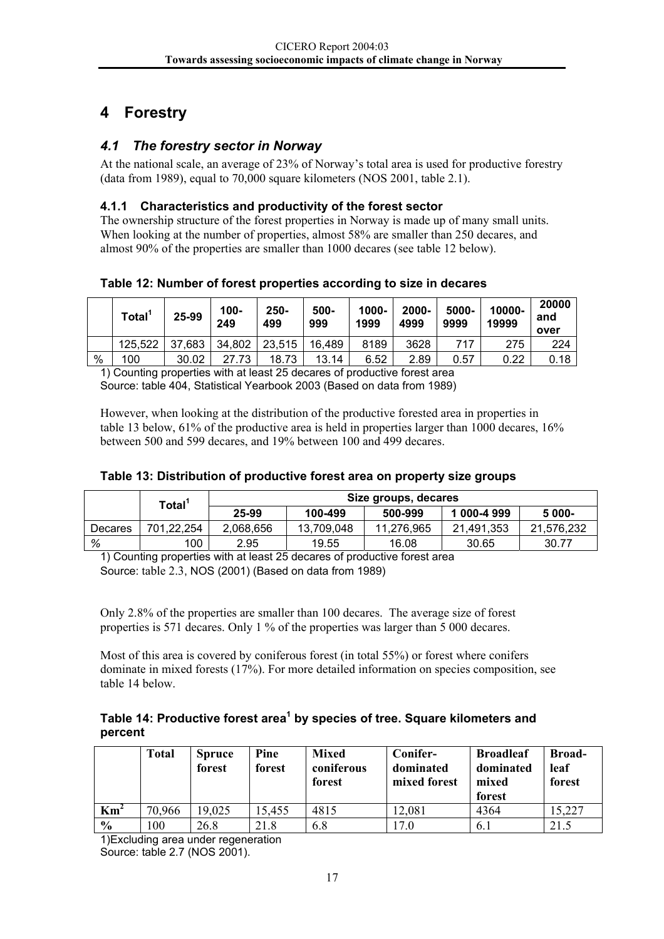# <span id="page-19-0"></span>**4 Forestry**

#### *4.1 The forestry sector in Norway*

At the national scale, an average of 23% of Norway's total area is used for productive forestry (data from 1989), equal to 70,000 square kilometers (NOS 2001, table 2.1).

#### **4.1.1 Characteristics and productivity of the forest sector**

The ownership structure of the forest properties in Norway is made up of many small units. When looking at the number of properties, almost 58% are smaller than 250 decares, and almost 90% of the properties are smaller than 1000 decares (see table 12 below).

**Table 12: Number of forest properties according to size in decares** 

|      | <b>Total</b> | 25-99  | 100-<br>249 | $250 -$<br>499 | 500-<br>999 | 1000-<br>1999 | 2000-<br>4999 | 5000-<br>9999 | 10000-<br>19999 | 20000<br>and<br>over |
|------|--------------|--------|-------------|----------------|-------------|---------------|---------------|---------------|-----------------|----------------------|
|      | 125,522      | 37,683 | 34,802      | 23,515         | 16,489      | 8189          | 3628          | 717           | 275             | 224                  |
| $\%$ | 100          | 30.02  | 27.73       | 18.73          | 13.14       | 6.52          | 2.89          | 0.57          | 0.22            | 0.18                 |

1) Counting properties with at least 25 decares of productive forest area Source: table 404, Statistical Yearbook 2003 (Based on data from 1989)

However, when looking at the distribution of the productive forested area in properties in table 13 below, 61% of the productive area is held in properties larger than 1000 decares, 16% between 500 and 599 decares, and 19% between 100 and 499 decares.

|  |  |  |  |  | Table 13: Distribution of productive forest area on property size groups |  |
|--|--|--|--|--|--------------------------------------------------------------------------|--|
|--|--|--|--|--|--------------------------------------------------------------------------|--|

|         | Total <sup>1</sup> | Size groups, decares |            |            |             |            |  |  |  |  |
|---------|--------------------|----------------------|------------|------------|-------------|------------|--|--|--|--|
|         |                    | 25-99                | 100-499    | 500-999    | 1 000-4 999 | 5 000-     |  |  |  |  |
| Decares | 701.22.254         | 2.068.656            | 13.709.048 | 11.276.965 | 21.491.353  | 21,576,232 |  |  |  |  |
| %       | 100                | 2.95                 | 19.55      | 16.08      | 30.65       | 30.77      |  |  |  |  |

1) Counting properties with at least 25 decares of productive forest area Source: table 2.3, NOS (2001) (Based on data from 1989)

Only 2.8% of the properties are smaller than 100 decares. The average size of forest properties is 571 decares. Only 1 % of the properties was larger than 5 000 decares.

Most of this area is covered by coniferous forest (in total 55%) or forest where conifers dominate in mixed forests (17%). For more detailed information on species composition, see table 14 below.

Table 14: Productive forest area<sup>1</sup> by species of tree. Square kilometers and **percent** 

|               | <b>Total</b> | <b>Spruce</b><br>forest | Pine<br>forest | Mixed<br>coniferous<br>forest | Conifer-<br>dominated<br>mixed forest | <b>Broadleaf</b><br>dominated<br>mixed<br>forest | <b>Broad-</b><br>leaf<br>forest |
|---------------|--------------|-------------------------|----------------|-------------------------------|---------------------------------------|--------------------------------------------------|---------------------------------|
| $\text{Km}^2$ | 70,966       | 19,025                  | 15,455         | 4815                          | 12,081                                | 4364                                             | 5,227                           |
| $\frac{6}{6}$ | 100          | 26.8                    | 21.8           | 6.8                           | 17.0                                  | 6.1                                              | 21.5                            |

1)Excluding area under regeneration Source: table 2.7 (NOS 2001).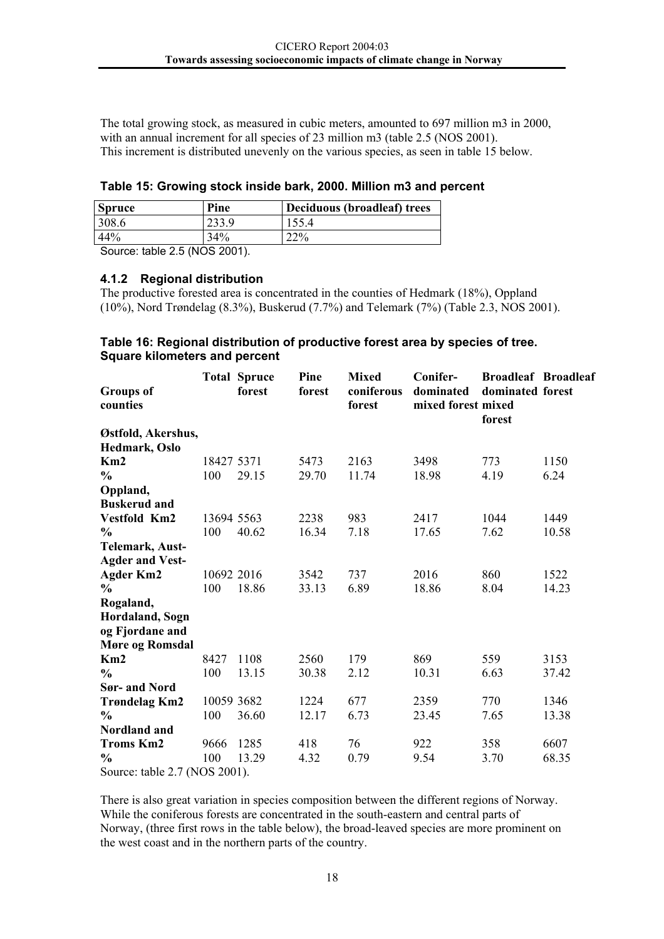<span id="page-20-0"></span>The total growing stock, as measured in cubic meters, amounted to 697 million m3 in 2000, with an annual increment for all species of 23 million m3 (table 2.5 (NOS 2001). This increment is distributed unevenly on the various species, as seen in table 15 below.

|  | Table 15: Growing stock inside bark, 2000. Million m3 and percent |  |  |  |  |
|--|-------------------------------------------------------------------|--|--|--|--|
|  |                                                                   |  |  |  |  |

| <b>Spruce</b> | Pine | Deciduous (broadleaf) trees |
|---------------|------|-----------------------------|
| 308.6         |      |                             |
| 44%           | 34%  | າາ0∕                        |
| $\sim$<br>.   |      |                             |

Source: table 2.5 (NOS 2001).

#### **4.1.2 Regional distribution**

The productive forested area is concentrated in the counties of Hedmark (18%), Oppland (10%), Nord Trøndelag (8.3%), Buskerud (7.7%) and Telemark (7%) (Table 2.3, NOS 2001).

#### **Table 16: Regional distribution of productive forest area by species of tree. Square kilometers and percent**

| <b>Groups of</b><br>counties  |            | <b>Total Spruce</b><br>forest | Pine<br>forest | <b>Mixed</b><br>coniferous<br>forest | Conifer-<br>dominated<br>mixed forest mixed | <b>Broadleaf Broadleaf</b><br>dominated forest<br>forest |       |
|-------------------------------|------------|-------------------------------|----------------|--------------------------------------|---------------------------------------------|----------------------------------------------------------|-------|
| Østfold, Akershus,            |            |                               |                |                                      |                                             |                                                          |       |
| Hedmark, Oslo                 |            |                               |                |                                      |                                             |                                                          |       |
| Km2                           | 18427 5371 |                               | 5473           | 2163                                 | 3498                                        | 773                                                      | 1150  |
| $\frac{0}{0}$                 | 100        | 29.15                         | 29.70          | 11.74                                | 18.98                                       | 4.19                                                     | 6.24  |
| Oppland,                      |            |                               |                |                                      |                                             |                                                          |       |
| <b>Buskerud and</b>           |            |                               |                |                                      |                                             |                                                          |       |
| Vestfold Km2                  | 13694 5563 |                               | 2238           | 983                                  | 2417                                        | 1044                                                     | 1449  |
| $\frac{0}{0}$                 | 100        | 40.62                         | 16.34          | 7.18                                 | 17.65                                       | 7.62                                                     | 10.58 |
| Telemark, Aust-               |            |                               |                |                                      |                                             |                                                          |       |
| <b>Agder and Vest-</b>        |            |                               |                |                                      |                                             |                                                          |       |
| <b>Agder Km2</b>              | 10692 2016 |                               | 3542           | 737                                  | 2016                                        | 860                                                      | 1522  |
| $\frac{0}{0}$                 | 100        | 18.86                         | 33.13          | 6.89                                 | 18.86                                       | 8.04                                                     | 14.23 |
| Rogaland,                     |            |                               |                |                                      |                                             |                                                          |       |
| Hordaland, Sogn               |            |                               |                |                                      |                                             |                                                          |       |
| og Fjordane and               |            |                               |                |                                      |                                             |                                                          |       |
| <b>Møre og Romsdal</b>        |            |                               |                |                                      |                                             |                                                          |       |
| Km2                           | 8427       | 1108                          | 2560           | 179                                  | 869                                         | 559                                                      | 3153  |
| $\frac{0}{0}$                 | 100        | 13.15                         | 30.38          | 2.12                                 | 10.31                                       | 6.63                                                     | 37.42 |
| <b>Sør- and Nord</b>          |            |                               |                |                                      |                                             |                                                          |       |
| <b>Trøndelag Km2</b>          | 10059 3682 |                               | 1224           | 677                                  | 2359                                        | 770                                                      | 1346  |
| $\frac{0}{0}$                 | 100        | 36.60                         | 12.17          | 6.73                                 | 23.45                                       | 7.65                                                     | 13.38 |
| Nordland and                  |            |                               |                |                                      |                                             |                                                          |       |
| <b>Troms Km2</b>              | 9666       | 1285                          | 418            | 76                                   | 922                                         | 358                                                      | 6607  |
| $\frac{0}{0}$                 | 100        | 13.29                         | 4.32           | 0.79                                 | 9.54                                        | 3.70                                                     | 68.35 |
| Source: table 2.7 (NOS 2001). |            |                               |                |                                      |                                             |                                                          |       |

There is also great variation in species composition between the different regions of Norway. While the coniferous forests are concentrated in the south-eastern and central parts of Norway, (three first rows in the table below), the broad-leaved species are more prominent on the west coast and in the northern parts of the country.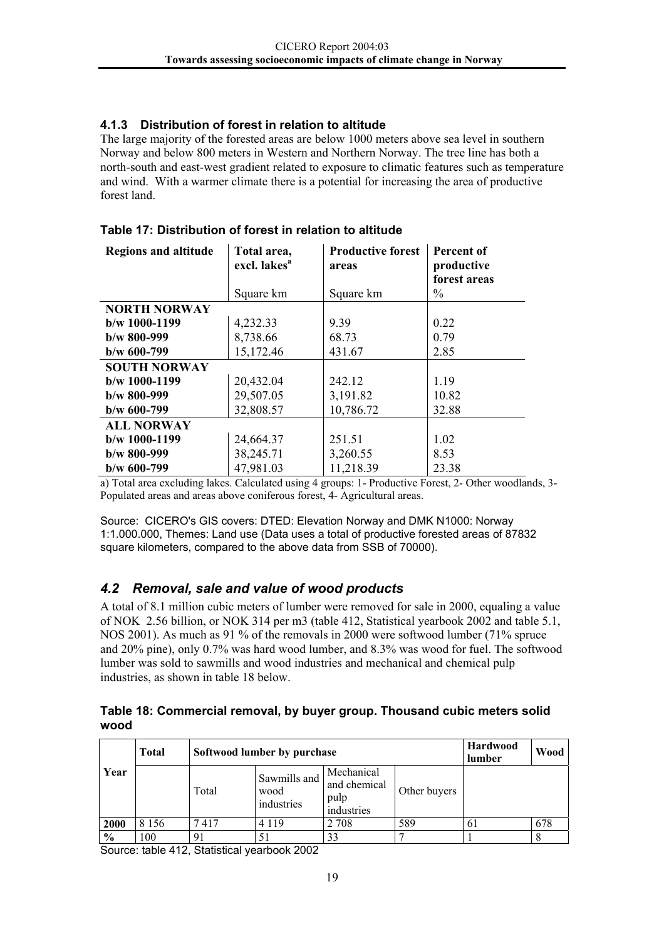#### <span id="page-21-0"></span>**4.1.3 Distribution of forest in relation to altitude**

The large majority of the forested areas are below 1000 meters above sea level in southern Norway and below 800 meters in Western and Northern Norway. The tree line has both a north-south and east-west gradient related to exposure to climatic features such as temperature and wind. With a warmer climate there is a potential for increasing the area of productive forest land.

| <b>Regions and altitude</b> | Total area,<br>excl. lakes <sup>a</sup> | <b>Productive forest</b><br>areas | Percent of<br>productive<br>forest areas |
|-----------------------------|-----------------------------------------|-----------------------------------|------------------------------------------|
|                             | Square km                               | Square km                         | $\frac{0}{0}$                            |
| <b>NORTH NORWAY</b>         |                                         |                                   |                                          |
| $b/w$ 1000-1199             | 4,232.33                                | 9.39                              | 0.22                                     |
| $b/w$ 800-999               | 8,738.66                                | 68.73                             | 0.79                                     |
| $b/w$ 600-799               | 15,172.46                               | 431.67                            | 2.85                                     |
| <b>SOUTH NORWAY</b>         |                                         |                                   |                                          |
| $b/w$ 1000-1199             | 20,432.04                               | 242.12                            | 1.19                                     |
| $b/w$ 800-999               | 29,507.05                               | 3,191.82                          | 10.82                                    |
| $b/w$ 600-799               | 32,808.57                               | 10,786.72                         | 32.88                                    |
| <b>ALL NORWAY</b>           |                                         |                                   |                                          |
| $b/w$ 1000-1199             | 24,664.37                               | 251.51                            | 1.02                                     |
| $b/w$ 800-999               | 38,245.71                               | 3,260.55                          | 8.53                                     |
| $b/w$ 600-799               | 47,981.03                               | 11,218.39                         | 23.38                                    |

#### **Table 17: Distribution of forest in relation to altitude**

a) Total area excluding lakes. Calculated using 4 groups: 1- Productive Forest, 2- Other woodlands, 3- Populated areas and areas above coniferous forest, 4- Agricultural areas.

Source: CICERO's GIS covers: DTED: Elevation Norway and DMK N1000: Norway 1:1.000.000, Themes: Land use (Data uses a total of productive forested areas of 87832 square kilometers, compared to the above data from SSB of 70000).

#### *4.2 Removal, sale and value of wood products*

A total of 8.1 million cubic meters of lumber were removed for sale in 2000, equaling a value of NOK 2.56 billion, or NOK 314 per m3 (table 412, Statistical yearbook 2002 and table 5.1, NOS 2001). As much as 91 % of the removals in 2000 were softwood lumber (71% spruce and 20% pine), only 0.7% was hard wood lumber, and 8.3% was wood for fuel. The softwood lumber was sold to sawmills and wood industries and mechanical and chemical pulp industries, as shown in table 18 below.

**Table 18: Commercial removal, by buyer group. Thousand cubic meters solid wood** 

| Year          | <b>Total</b> | Softwood lumber by purchase | Hardwood<br>lumber                 | Wood                                             |              |    |     |
|---------------|--------------|-----------------------------|------------------------------------|--------------------------------------------------|--------------|----|-----|
|               |              | Total                       | Sawmills and<br>wood<br>industries | Mechanical<br>and chemical<br>pulp<br>industries | Other buyers |    |     |
| 2000          | 8 1 5 6      | 7417                        | 4 1 1 9                            | 2 7 0 8                                          | 589          | 61 | 678 |
| $\frac{0}{0}$ | 100          | 91                          | 51                                 | 33                                               |              |    |     |

Source: table 412, Statistical yearbook 2002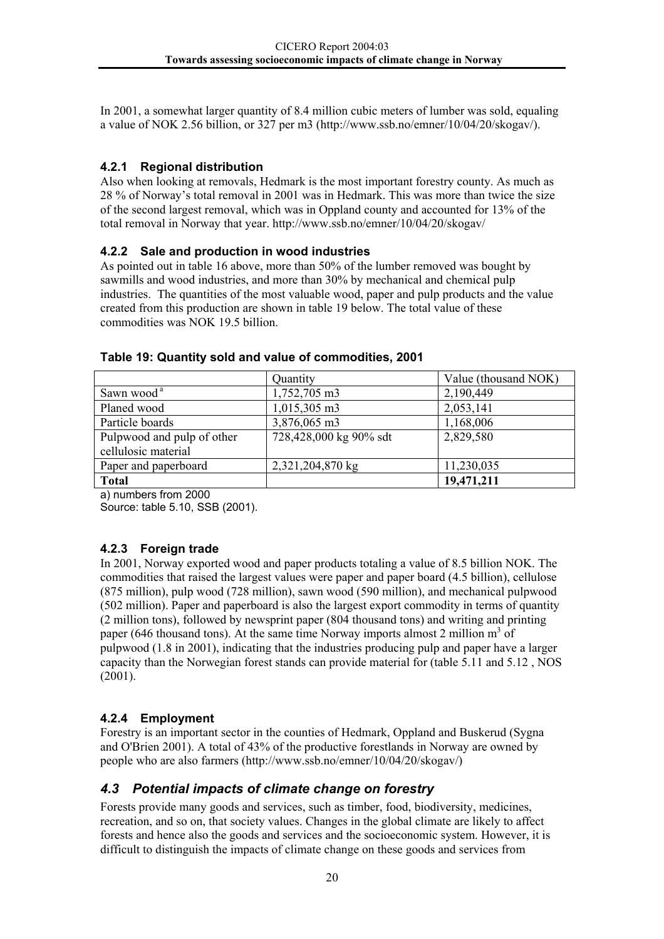<span id="page-22-0"></span>In 2001, a somewhat larger quantity of 8.4 million cubic meters of lumber was sold, equaling a value of NOK 2.56 billion, or 327 per m3 (http://www.ssb.no/emner/10/04/20/skogav/).

#### **4.2.1 Regional distribution**

Also when looking at removals, Hedmark is the most important forestry county. As much as 28 % of Norway's total removal in 2001 was in Hedmark. This was more than twice the size of the second largest removal, which was in Oppland county and accounted for 13% of the total removal in Norway that year. http://www.ssb.no/emner/10/04/20/skogav/

#### **4.2.2 Sale and production in wood industries**

As pointed out in table 16 above, more than 50% of the lumber removed was bought by sawmills and wood industries, and more than 30% by mechanical and chemical pulp industries. The quantities of the most valuable wood, paper and pulp products and the value created from this production are shown in table 19 below. The total value of these commodities was NOK 19.5 billion.

|                            | Quantity               | Value (thousand NOK) |
|----------------------------|------------------------|----------------------|
| Sawn wood <sup>a</sup>     | 1,752,705 m3           | 2,190,449            |
| Planed wood                | 1,015,305 m3           | 2,053,141            |
| Particle boards            | 3,876,065 m3           | 1,168,006            |
| Pulpwood and pulp of other | 728,428,000 kg 90% sdt | 2,829,580            |
| cellulosic material        |                        |                      |
| Paper and paperboard       | 2,321,204,870 kg       | 11,230,035           |
| <b>Total</b>               |                        | 19,471,211           |

#### **Table 19: Quantity sold and value of commodities, 2001**

a) numbers from 2000

Source: table 5.10, SSB (2001).

#### **4.2.3 Foreign trade**

In 2001, Norway exported wood and paper products totaling a value of 8.5 billion NOK. The commodities that raised the largest values were paper and paper board (4.5 billion), cellulose (875 million), pulp wood (728 million), sawn wood (590 million), and mechanical pulpwood (502 million). Paper and paperboard is also the largest export commodity in terms of quantity (2 million tons), followed by newsprint paper (804 thousand tons) and writing and printing paper (646 thousand tons). At the same time Norway imports almost 2 million  $m<sup>3</sup>$  of pulpwood (1.8 in 2001), indicating that the industries producing pulp and paper have a larger capacity than the Norwegian forest stands can provide material for (table 5.11 and 5.12 , NOS (2001).

#### **4.2.4 Employment**

Forestry is an important sector in the counties of Hedmark, Oppland and Buskerud (Sygna and O'Brien 2001). A total of 43% of the productive forestlands in Norway are owned by people who are also farmers (http://www.ssb.no/emner/10/04/20/skogav/)

#### *4.3 Potential impacts of climate change on forestry*

Forests provide many goods and services, such as timber, food, biodiversity, medicines, recreation, and so on, that society values. Changes in the global climate are likely to affect forests and hence also the goods and services and the socioeconomic system. However, it is difficult to distinguish the impacts of climate change on these goods and services from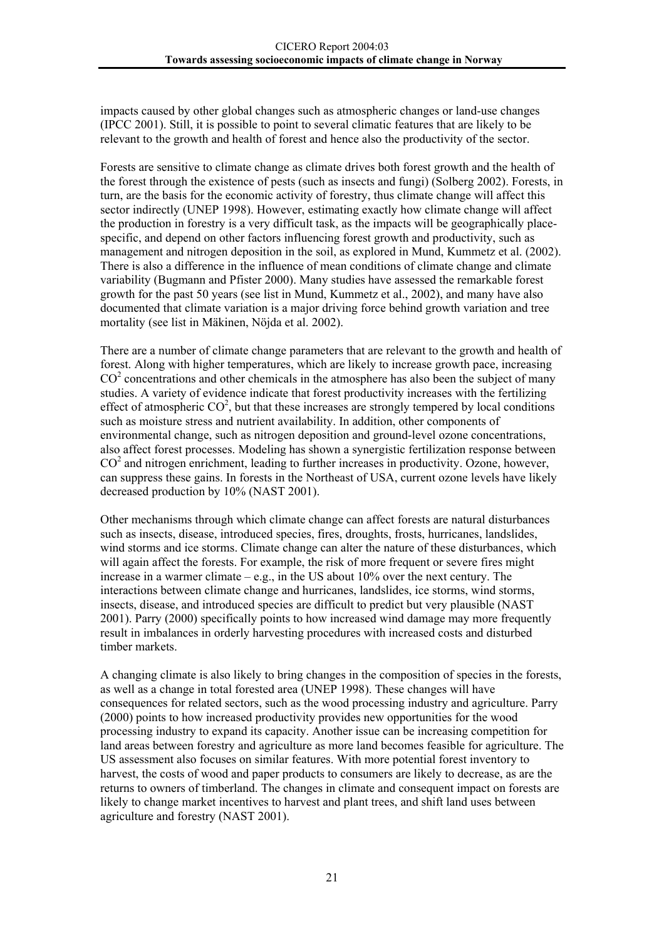impacts caused by other global changes such as atmospheric changes or land-use changes (IPCC 2001). Still, it is possible to point to several climatic features that are likely to be relevant to the growth and health of forest and hence also the productivity of the sector.

Forests are sensitive to climate change as climate drives both forest growth and the health of the forest through the existence of pests (such as insects and fungi) (Solberg 2002). Forests, in turn, are the basis for the economic activity of forestry, thus climate change will affect this sector indirectly (UNEP 1998). However, estimating exactly how climate change will affect the production in forestry is a very difficult task, as the impacts will be geographically placespecific, and depend on other factors influencing forest growth and productivity, such as management and nitrogen deposition in the soil, as explored in Mund, Kummetz et al. (2002). There is also a difference in the influence of mean conditions of climate change and climate variability (Bugmann and Pfister 2000). Many studies have assessed the remarkable forest growth for the past 50 years (see list in Mund, Kummetz et al., 2002), and many have also documented that climate variation is a major driving force behind growth variation and tree mortality (see list in Mäkinen, Nöjda et al. 2002).

There are a number of climate change parameters that are relevant to the growth and health of forest. Along with higher temperatures, which are likely to increase growth pace, increasing  $CO<sup>2</sup>$  concentrations and other chemicals in the atmosphere has also been the subject of many studies. A variety of evidence indicate that forest productivity increases with the fertilizing effect of atmospheric  $CO<sup>2</sup>$ , but that these increases are strongly tempered by local conditions such as moisture stress and nutrient availability. In addition, other components of environmental change, such as nitrogen deposition and ground-level ozone concentrations, also affect forest processes. Modeling has shown a synergistic fertilization response between CO<sup>2</sup> and nitrogen enrichment, leading to further increases in productivity. Ozone, however, can suppress these gains. In forests in the Northeast of USA, current ozone levels have likely decreased production by 10% (NAST 2001).

Other mechanisms through which climate change can affect forests are natural disturbances such as insects, disease, introduced species, fires, droughts, frosts, hurricanes, landslides, wind storms and ice storms. Climate change can alter the nature of these disturbances, which will again affect the forests. For example, the risk of more frequent or severe fires might increase in a warmer climate – e.g., in the US about  $10\%$  over the next century. The interactions between climate change and hurricanes, landslides, ice storms, wind storms, insects, disease, and introduced species are difficult to predict but very plausible (NAST 2001). Parry (2000) specifically points to how increased wind damage may more frequently result in imbalances in orderly harvesting procedures with increased costs and disturbed timber markets.

A changing climate is also likely to bring changes in the composition of species in the forests, as well as a change in total forested area (UNEP 1998). These changes will have consequences for related sectors, such as the wood processing industry and agriculture. Parry (2000) points to how increased productivity provides new opportunities for the wood processing industry to expand its capacity. Another issue can be increasing competition for land areas between forestry and agriculture as more land becomes feasible for agriculture. The US assessment also focuses on similar features. With more potential forest inventory to harvest, the costs of wood and paper products to consumers are likely to decrease, as are the returns to owners of timberland. The changes in climate and consequent impact on forests are likely to change market incentives to harvest and plant trees, and shift land uses between agriculture and forestry (NAST 2001).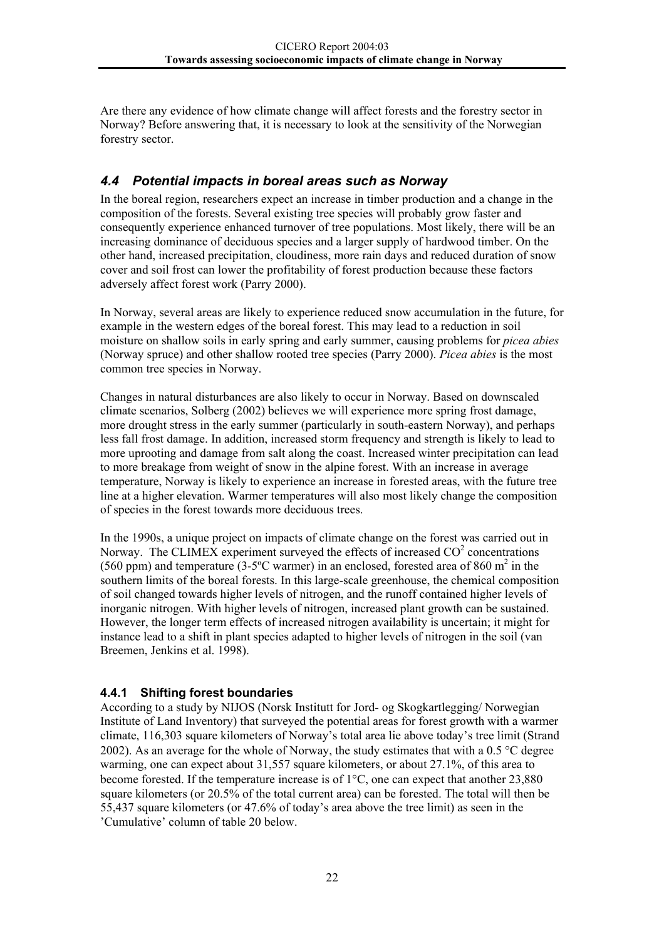<span id="page-24-0"></span>Are there any evidence of how climate change will affect forests and the forestry sector in Norway? Before answering that, it is necessary to look at the sensitivity of the Norwegian forestry sector.

#### *4.4 Potential impacts in boreal areas such as Norway*

In the boreal region, researchers expect an increase in timber production and a change in the composition of the forests. Several existing tree species will probably grow faster and consequently experience enhanced turnover of tree populations. Most likely, there will be an increasing dominance of deciduous species and a larger supply of hardwood timber. On the other hand, increased precipitation, cloudiness, more rain days and reduced duration of snow cover and soil frost can lower the profitability of forest production because these factors adversely affect forest work (Parry 2000).

In Norway, several areas are likely to experience reduced snow accumulation in the future, for example in the western edges of the boreal forest. This may lead to a reduction in soil moisture on shallow soils in early spring and early summer, causing problems for *picea abies* (Norway spruce) and other shallow rooted tree species (Parry 2000). *Picea abies* is the most common tree species in Norway.

Changes in natural disturbances are also likely to occur in Norway. Based on downscaled climate scenarios, Solberg (2002) believes we will experience more spring frost damage, more drought stress in the early summer (particularly in south-eastern Norway), and perhaps less fall frost damage. In addition, increased storm frequency and strength is likely to lead to more uprooting and damage from salt along the coast. Increased winter precipitation can lead to more breakage from weight of snow in the alpine forest. With an increase in average temperature, Norway is likely to experience an increase in forested areas, with the future tree line at a higher elevation. Warmer temperatures will also most likely change the composition of species in the forest towards more deciduous trees.

In the 1990s, a unique project on impacts of climate change on the forest was carried out in Norway. The CLIMEX experiment surveyed the effects of increased  $CO<sup>2</sup>$  concentrations (560 ppm) and temperature (3-5°C warmer) in an enclosed, forested area of 860  $m^2$  in the southern limits of the boreal forests. In this large-scale greenhouse, the chemical composition of soil changed towards higher levels of nitrogen, and the runoff contained higher levels of inorganic nitrogen. With higher levels of nitrogen, increased plant growth can be sustained. However, the longer term effects of increased nitrogen availability is uncertain; it might for instance lead to a shift in plant species adapted to higher levels of nitrogen in the soil (van Breemen, Jenkins et al. 1998).

#### **4.4.1 Shifting forest boundaries**

According to a study by NIJOS (Norsk Institutt for Jord- og Skogkartlegging/ Norwegian Institute of Land Inventory) that surveyed the potential areas for forest growth with a warmer climate, 116,303 square kilometers of Norway's total area lie above today's tree limit (Strand 2002). As an average for the whole of Norway, the study estimates that with a 0.5 °C degree warming, one can expect about 31,557 square kilometers, or about 27.1%, of this area to become forested. If the temperature increase is of 1°C, one can expect that another 23,880 square kilometers (or 20.5% of the total current area) can be forested. The total will then be 55,437 square kilometers (or 47.6% of today's area above the tree limit) as seen in the 'Cumulative' column of table 20 below.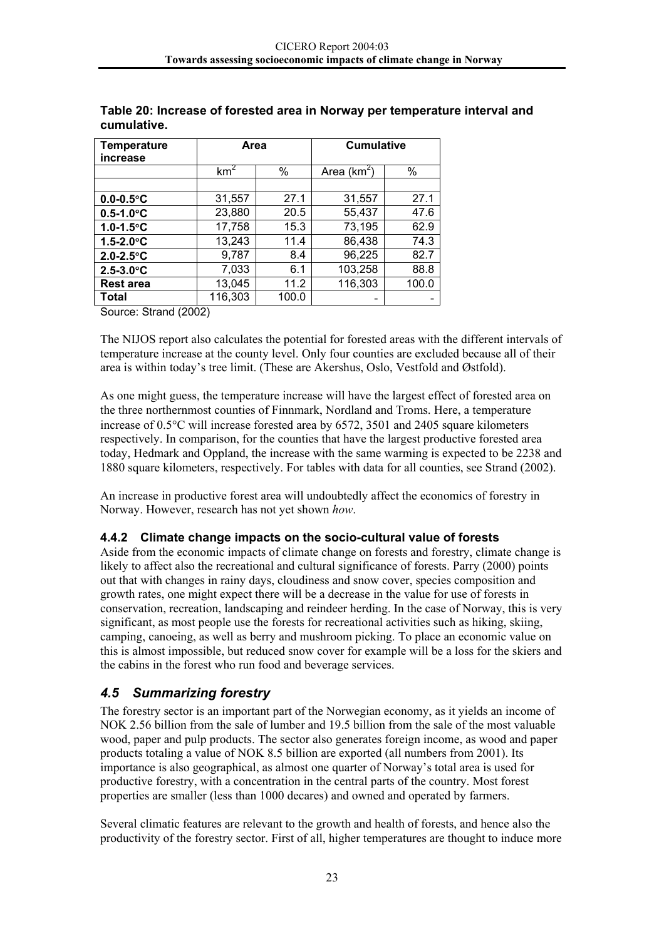| <b>Temperature</b><br>increase | Area            |       | <b>Cumulative</b> |       |
|--------------------------------|-----------------|-------|-------------------|-------|
|                                | km <sup>2</sup> | %     | Area $(km^2)$     | %     |
|                                |                 |       |                   |       |
| $0.0 - 0.5$ °C                 | 31,557          | 27.1  | 31,557            | 27.1  |
| $0.5 - 1.0$ °C                 | 23,880          | 20.5  | 55,437            | 47.6  |
| $1.0 - 1.5$ °C                 | 17,758          | 15.3  | 73,195            | 62.9  |
| $1.5 - 2.0$ °C                 | 13,243          | 11.4  | 86,438            | 74.3  |
| $2.0 - 2.5$ °C                 | 9,787           | 8.4   | 96,225            | 82.7  |
| $2.5 - 3.0^{\circ}C$           | 7,033           | 6.1   | 103,258           | 88.8  |
| <b>Rest area</b>               | 13,045          | 11.2  | 116,303           | 100.0 |
| <b>Total</b>                   | 116,303         | 100.0 |                   |       |

<span id="page-25-0"></span>**Table 20: Increase of forested area in Norway per temperature interval and cumulative.** 

Source: Strand (2002)

The NIJOS report also calculates the potential for forested areas with the different intervals of temperature increase at the county level. Only four counties are excluded because all of their area is within today's tree limit. (These are Akershus, Oslo, Vestfold and Østfold).

As one might guess, the temperature increase will have the largest effect of forested area on the three northernmost counties of Finnmark, Nordland and Troms. Here, a temperature increase of 0.5°C will increase forested area by 6572, 3501 and 2405 square kilometers respectively. In comparison, for the counties that have the largest productive forested area today, Hedmark and Oppland, the increase with the same warming is expected to be 2238 and 1880 square kilometers, respectively. For tables with data for all counties, see Strand (2002).

An increase in productive forest area will undoubtedly affect the economics of forestry in Norway. However, research has not yet shown *how*.

#### **4.4.2 Climate change impacts on the socio-cultural value of forests**

Aside from the economic impacts of climate change on forests and forestry, climate change is likely to affect also the recreational and cultural significance of forests. Parry (2000) points out that with changes in rainy days, cloudiness and snow cover, species composition and growth rates, one might expect there will be a decrease in the value for use of forests in conservation, recreation, landscaping and reindeer herding. In the case of Norway, this is very significant, as most people use the forests for recreational activities such as hiking, skiing, camping, canoeing, as well as berry and mushroom picking. To place an economic value on this is almost impossible, but reduced snow cover for example will be a loss for the skiers and the cabins in the forest who run food and beverage services.

#### *4.5 Summarizing forestry*

The forestry sector is an important part of the Norwegian economy, as it yields an income of NOK 2.56 billion from the sale of lumber and 19.5 billion from the sale of the most valuable wood, paper and pulp products. The sector also generates foreign income, as wood and paper products totaling a value of NOK 8.5 billion are exported (all numbers from 2001). Its importance is also geographical, as almost one quarter of Norway's total area is used for productive forestry, with a concentration in the central parts of the country. Most forest properties are smaller (less than 1000 decares) and owned and operated by farmers.

Several climatic features are relevant to the growth and health of forests, and hence also the productivity of the forestry sector. First of all, higher temperatures are thought to induce more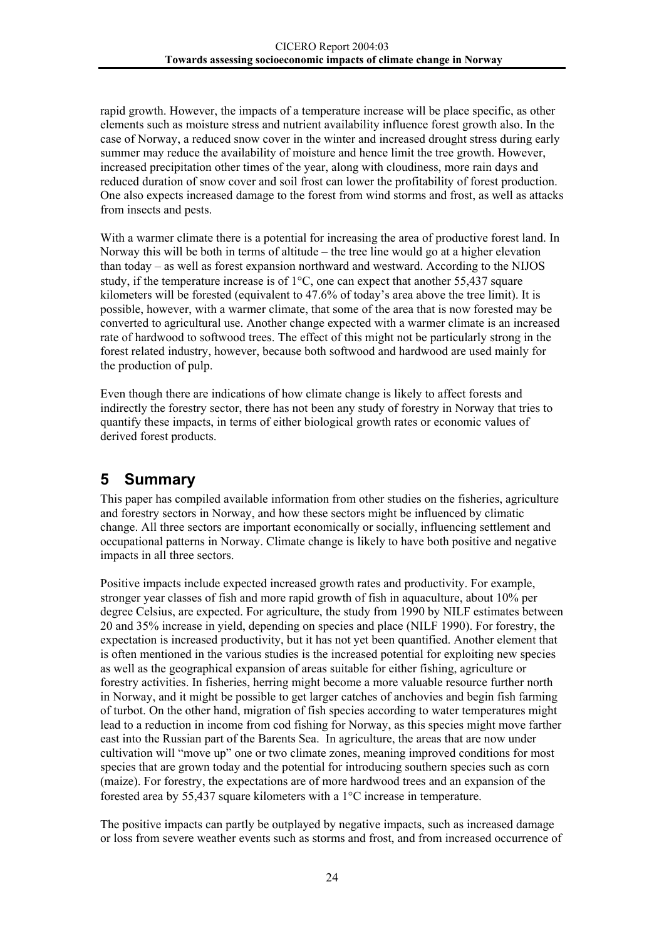<span id="page-26-0"></span>rapid growth. However, the impacts of a temperature increase will be place specific, as other elements such as moisture stress and nutrient availability influence forest growth also. In the case of Norway, a reduced snow cover in the winter and increased drought stress during early summer may reduce the availability of moisture and hence limit the tree growth. However, increased precipitation other times of the year, along with cloudiness, more rain days and reduced duration of snow cover and soil frost can lower the profitability of forest production. One also expects increased damage to the forest from wind storms and frost, as well as attacks from insects and pests.

With a warmer climate there is a potential for increasing the area of productive forest land. In Norway this will be both in terms of altitude – the tree line would go at a higher elevation than today – as well as forest expansion northward and westward. According to the NIJOS study, if the temperature increase is of 1°C, one can expect that another 55,437 square kilometers will be forested (equivalent to 47.6% of today's area above the tree limit). It is possible, however, with a warmer climate, that some of the area that is now forested may be converted to agricultural use. Another change expected with a warmer climate is an increased rate of hardwood to softwood trees. The effect of this might not be particularly strong in the forest related industry, however, because both softwood and hardwood are used mainly for the production of pulp.

Even though there are indications of how climate change is likely to affect forests and indirectly the forestry sector, there has not been any study of forestry in Norway that tries to quantify these impacts, in terms of either biological growth rates or economic values of derived forest products.

## **5 Summary**

This paper has compiled available information from other studies on the fisheries, agriculture and forestry sectors in Norway, and how these sectors might be influenced by climatic change. All three sectors are important economically or socially, influencing settlement and occupational patterns in Norway. Climate change is likely to have both positive and negative impacts in all three sectors.

Positive impacts include expected increased growth rates and productivity. For example, stronger year classes of fish and more rapid growth of fish in aquaculture, about 10% per degree Celsius, are expected. For agriculture, the study from 1990 by NILF estimates between 20 and 35% increase in yield, depending on species and place (NILF 1990). For forestry, the expectation is increased productivity, but it has not yet been quantified. Another element that is often mentioned in the various studies is the increased potential for exploiting new species as well as the geographical expansion of areas suitable for either fishing, agriculture or forestry activities. In fisheries, herring might become a more valuable resource further north in Norway, and it might be possible to get larger catches of anchovies and begin fish farming of turbot. On the other hand, migration of fish species according to water temperatures might lead to a reduction in income from cod fishing for Norway, as this species might move farther east into the Russian part of the Barents Sea. In agriculture, the areas that are now under cultivation will "move up" one or two climate zones, meaning improved conditions for most species that are grown today and the potential for introducing southern species such as corn (maize). For forestry, the expectations are of more hardwood trees and an expansion of the forested area by 55,437 square kilometers with a 1°C increase in temperature.

The positive impacts can partly be outplayed by negative impacts, such as increased damage or loss from severe weather events such as storms and frost, and from increased occurrence of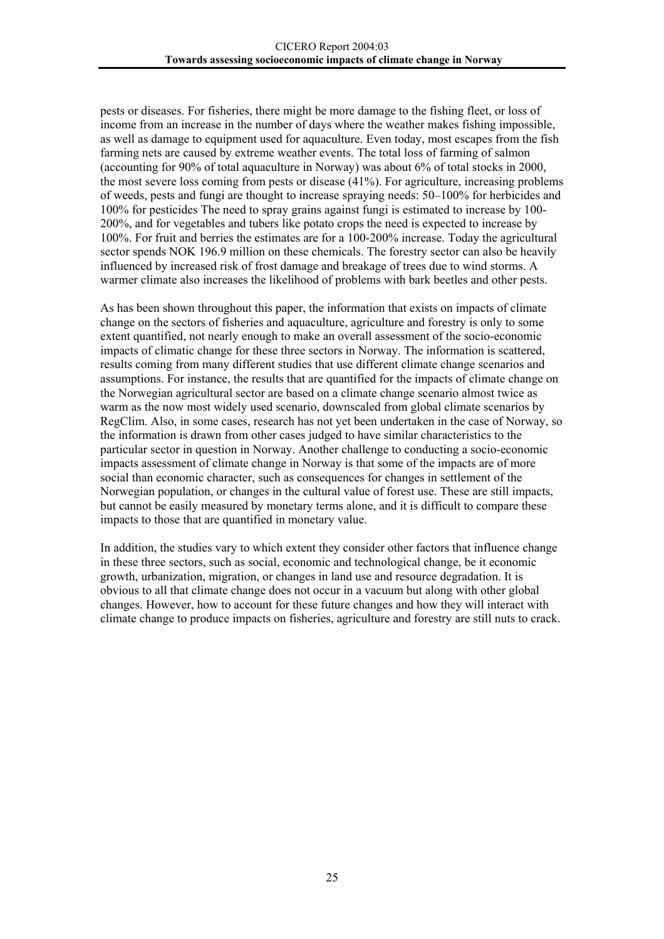pests or diseases. For fisheries, there might be more damage to the fishing fleet, or loss of income from an increase in the number of days where the weather makes fishing impossible, as well as damage to equipment used for aquaculture. Even today, most escapes from the fish farming nets are caused by extreme weather events. The total loss of farming of salmon (accounting for 90% of total aquaculture in Norway) was about 6% of total stocks in 2000, the most severe loss coming from pests or disease (41%). For agriculture, increasing problems of weeds, pests and fungi are thought to increase spraying needs: 50–100% for herbicides and 100% for pesticides The need to spray grains against fungi is estimated to increase by 100- 200%, and for vegetables and tubers like potato crops the need is expected to increase by 100%. For fruit and berries the estimates are for a 100-200% increase. Today the agricultural sector spends NOK 196.9 million on these chemicals. The forestry sector can also be heavily influenced by increased risk of frost damage and breakage of trees due to wind storms. A warmer climate also increases the likelihood of problems with bark beetles and other pests.

As has been shown throughout this paper, the information that exists on impacts of climate change on the sectors of fisheries and aquaculture, agriculture and forestry is only to some extent quantified, not nearly enough to make an overall assessment of the socio-economic impacts of climatic change for these three sectors in Norway. The information is scattered, results coming from many different studies that use different climate change scenarios and assumptions. For instance, the results that are quantified for the impacts of climate change on the Norwegian agricultural sector are based on a climate change scenario almost twice as warm as the now most widely used scenario, downscaled from global climate scenarios by RegClim. Also, in some cases, research has not yet been undertaken in the case of Norway, so the information is drawn from other cases judged to have similar characteristics to the particular sector in question in Norway. Another challenge to conducting a socio-economic impacts assessment of climate change in Norway is that some of the impacts are of more social than economic character, such as consequences for changes in settlement of the Norwegian population, or changes in the cultural value of forest use. These are still impacts, but cannot be easily measured by monetary terms alone, and it is difficult to compare these impacts to those that are quantified in monetary value.

In addition, the studies vary to which extent they consider other factors that influence change in these three sectors, such as social, economic and technological change, be it economic growth, urbanization, migration, or changes in land use and resource degradation. It is obvious to all that climate change does not occur in a vacuum but along with other global changes. However, how to account for these future changes and how they will interact with climate change to produce impacts on fisheries, agriculture and forestry are still nuts to crack.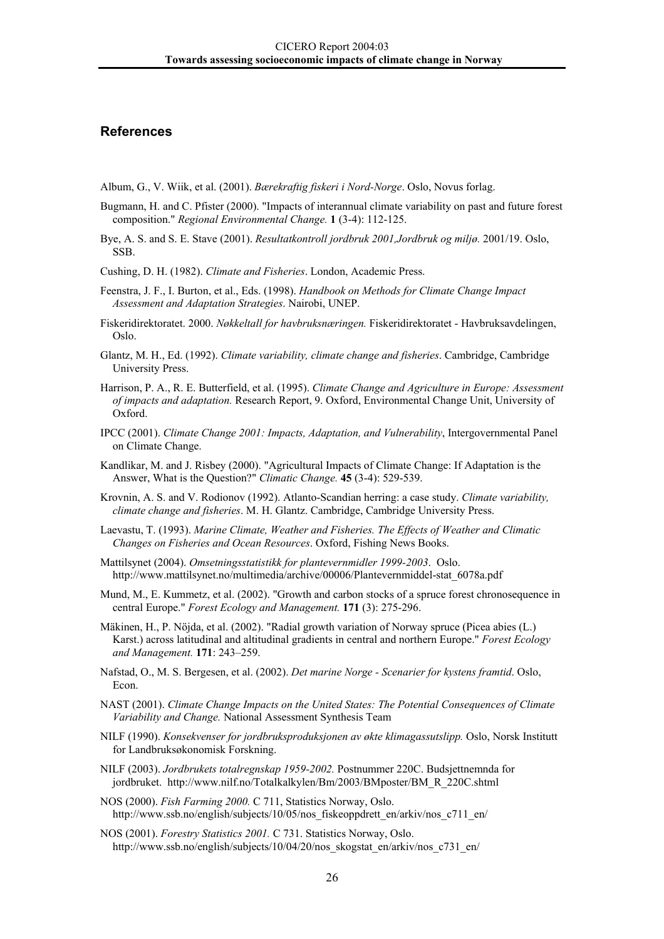#### <span id="page-28-0"></span>**References**

Album, G., V. Wiik, et al. (2001). *Bærekraftig fiskeri i Nord-Norge*. Oslo, Novus forlag.

- Bugmann, H. and C. Pfister (2000). "Impacts of interannual climate variability on past and future forest composition." *Regional Environmental Change.* **1** (3-4): 112-125.
- Bye, A. S. and S. E. Stave (2001). *Resultatkontroll jordbruk 2001,Jordbruk og miljø.* 2001/19. Oslo, SSB.

Cushing, D. H. (1982). *Climate and Fisheries*. London, Academic Press.

- Feenstra, J. F., I. Burton, et al., Eds. (1998). *Handbook on Methods for Climate Change Impact Assessment and Adaptation Strategies*. Nairobi, UNEP.
- Fiskeridirektoratet. 2000. *Nøkkeltall for havbruksnæringen.* Fiskeridirektoratet Havbruksavdelingen, Oslo.
- Glantz, M. H., Ed. (1992). *Climate variability, climate change and fisheries*. Cambridge, Cambridge University Press.
- Harrison, P. A., R. E. Butterfield, et al. (1995). *Climate Change and Agriculture in Europe: Assessment of impacts and adaptation.* Research Report, 9. Oxford, Environmental Change Unit, University of Oxford.
- IPCC (2001). *Climate Change 2001: Impacts, Adaptation, and Vulnerability*, Intergovernmental Panel on Climate Change.
- Kandlikar, M. and J. Risbey (2000). "Agricultural Impacts of Climate Change: If Adaptation is the Answer, What is the Question?" *Climatic Change.* **45** (3-4): 529-539.
- Krovnin, A. S. and V. Rodionov (1992). Atlanto-Scandian herring: a case study. *Climate variability, climate change and fisheries*. M. H. Glantz. Cambridge, Cambridge University Press.
- Laevastu, T. (1993). *Marine Climate, Weather and Fisheries. The Effects of Weather and Climatic Changes on Fisheries and Ocean Resources*. Oxford, Fishing News Books.
- Mattilsynet (2004). *Omsetningsstatistikk for plantevernmidler 1999-2003*. Oslo. http://www.mattilsynet.no/multimedia/archive/00006/Plantevernmiddel-stat\_6078a.pdf
- Mund, M., E. Kummetz, et al. (2002). "Growth and carbon stocks of a spruce forest chronosequence in central Europe." *Forest Ecology and Management.* **171** (3): 275-296.
- Mäkinen, H., P. Nöjda, et al. (2002). "Radial growth variation of Norway spruce (Picea abies (L.) Karst.) across latitudinal and altitudinal gradients in central and northern Europe." *Forest Ecology and Management.* **171**: 243–259.
- Nafstad, O., M. S. Bergesen, et al. (2002). *Det marine Norge Scenarier for kystens framtid*. Oslo, Econ.
- NAST (2001). *Climate Change Impacts on the United States: The Potential Consequences of Climate Variability and Change.* National Assessment Synthesis Team
- NILF (1990). *Konsekvenser for jordbruksproduksjonen av økte klimagassutslipp.* Oslo, Norsk Institutt for Landbruksøkonomisk Forskning.
- NILF (2003). *Jordbrukets totalregnskap 1959-2002.* Postnummer 220C. Budsjettnemnda for jordbruket. http://www.nilf.no/Totalkalkylen/Bm/2003/BMposter/BM\_R\_220C.shtml
- NOS (2000). *Fish Farming 2000.* C 711, Statistics Norway, Oslo. http://www.ssb.no/english/subjects/10/05/nos\_fiskeoppdrett\_en/arkiv/nos\_c711\_en/
- NOS (2001). *Forestry Statistics 2001.* C 731. Statistics Norway, Oslo. http://www.ssb.no/english/subjects/10/04/20/nos\_skogstat\_en/arkiv/nos\_c731\_en/